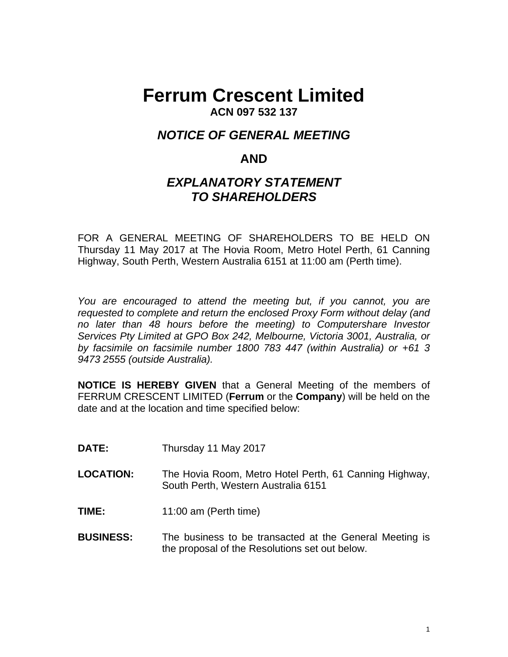# **Ferrum Crescent Limited ACN 097 532 137**

# *NOTICE OF GENERAL MEETING*

# **AND**

# *EXPLANATORY STATEMENT TO SHAREHOLDERS*

FOR A GENERAL MEETING OF SHAREHOLDERS TO BE HELD ON Thursday 11 May 2017 at The Hovia Room, Metro Hotel Perth, 61 Canning Highway, South Perth, Western Australia 6151 at 11:00 am (Perth time).

*You are encouraged to attend the meeting but, if you cannot, you are requested to complete and return the enclosed Proxy Form without delay (and no later than 48 hours before the meeting) to Computershare Investor Services Pty Limited at GPO Box 242, Melbourne, Victoria 3001, Australia, or by facsimile on facsimile number 1800 783 447 (within Australia) or +61 3 9473 2555 (outside Australia).* 

**NOTICE IS HEREBY GIVEN** that a General Meeting of the members of FERRUM CRESCENT LIMITED (**Ferrum** or the **Company**) will be held on the date and at the location and time specified below:

- **DATE:** Thursday 11 May 2017
- **LOCATION:** The Hovia Room, Metro Hotel Perth, 61 Canning Highway, South Perth, Western Australia 6151
- **TIME:** 11:00 am (Perth time)
- **BUSINESS:** The business to be transacted at the General Meeting is the proposal of the Resolutions set out below.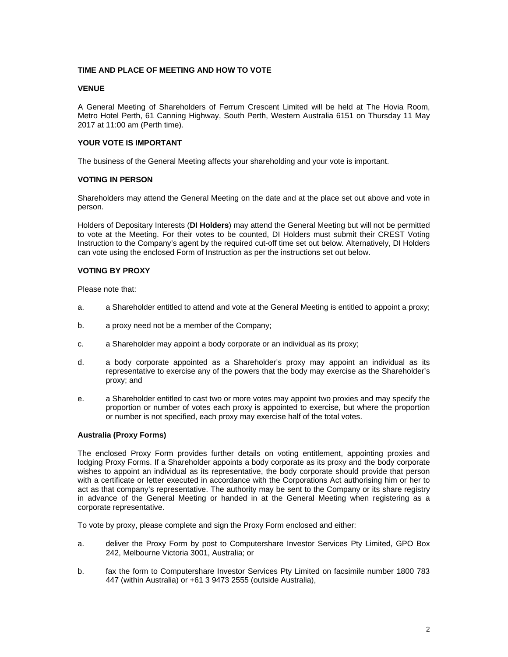#### **TIME AND PLACE OF MEETING AND HOW TO VOTE**

#### **VENUE**

A General Meeting of Shareholders of Ferrum Crescent Limited will be held at The Hovia Room, Metro Hotel Perth, 61 Canning Highway, South Perth, Western Australia 6151 on Thursday 11 May 2017 at 11:00 am (Perth time).

#### **YOUR VOTE IS IMPORTANT**

The business of the General Meeting affects your shareholding and your vote is important.

#### **VOTING IN PERSON**

Shareholders may attend the General Meeting on the date and at the place set out above and vote in person.

Holders of Depositary Interests (**DI Holders**) may attend the General Meeting but will not be permitted to vote at the Meeting. For their votes to be counted, DI Holders must submit their CREST Voting Instruction to the Company's agent by the required cut-off time set out below. Alternatively, DI Holders can vote using the enclosed Form of Instruction as per the instructions set out below.

#### **VOTING BY PROXY**

Please note that:

- a. a Shareholder entitled to attend and vote at the General Meeting is entitled to appoint a proxy;
- b. a proxy need not be a member of the Company;
- c. a Shareholder may appoint a body corporate or an individual as its proxy;
- d. a body corporate appointed as a Shareholder's proxy may appoint an individual as its representative to exercise any of the powers that the body may exercise as the Shareholder's proxy; and
- e. a Shareholder entitled to cast two or more votes may appoint two proxies and may specify the proportion or number of votes each proxy is appointed to exercise, but where the proportion or number is not specified, each proxy may exercise half of the total votes.

#### **Australia (Proxy Forms)**

The enclosed Proxy Form provides further details on voting entitlement, appointing proxies and lodging Proxy Forms. If a Shareholder appoints a body corporate as its proxy and the body corporate wishes to appoint an individual as its representative, the body corporate should provide that person with a certificate or letter executed in accordance with the Corporations Act authorising him or her to act as that company's representative. The authority may be sent to the Company or its share registry in advance of the General Meeting or handed in at the General Meeting when registering as a corporate representative.

To vote by proxy, please complete and sign the Proxy Form enclosed and either:

- a. deliver the Proxy Form by post to Computershare Investor Services Pty Limited, GPO Box 242, Melbourne Victoria 3001, Australia; or
- b. fax the form to Computershare Investor Services Pty Limited on facsimile number 1800 783 447 (within Australia) or +61 3 9473 2555 (outside Australia),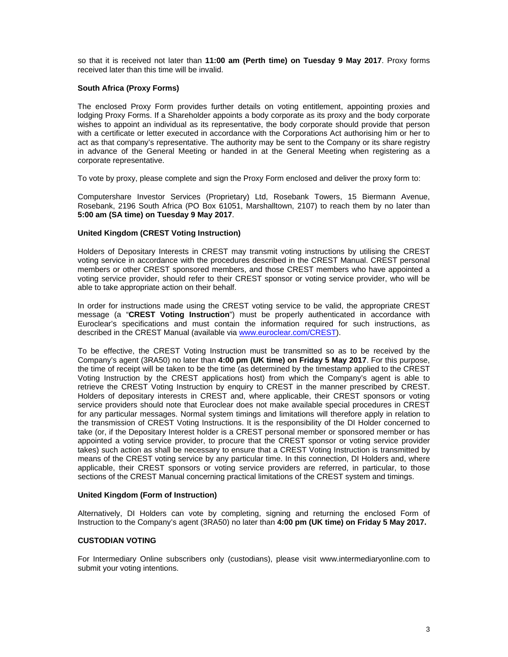so that it is received not later than **11:00 am (Perth time) on Tuesday 9 May 2017**. Proxy forms received later than this time will be invalid.

#### **South Africa (Proxy Forms)**

The enclosed Proxy Form provides further details on voting entitlement, appointing proxies and lodging Proxy Forms. If a Shareholder appoints a body corporate as its proxy and the body corporate wishes to appoint an individual as its representative, the body corporate should provide that person with a certificate or letter executed in accordance with the Corporations Act authorising him or her to act as that company's representative. The authority may be sent to the Company or its share registry in advance of the General Meeting or handed in at the General Meeting when registering as a corporate representative.

To vote by proxy, please complete and sign the Proxy Form enclosed and deliver the proxy form to:

Computershare Investor Services (Proprietary) Ltd, Rosebank Towers, 15 Biermann Avenue, Rosebank, 2196 South Africa (PO Box 61051, Marshalltown, 2107) to reach them by no later than **5:00 am (SA time) on Tuesday 9 May 2017**.

#### **United Kingdom (CREST Voting Instruction)**

Holders of Depositary Interests in CREST may transmit voting instructions by utilising the CREST voting service in accordance with the procedures described in the CREST Manual. CREST personal members or other CREST sponsored members, and those CREST members who have appointed a voting service provider, should refer to their CREST sponsor or voting service provider, who will be able to take appropriate action on their behalf.

In order for instructions made using the CREST voting service to be valid, the appropriate CREST message (a "**CREST Voting Instruction**") must be properly authenticated in accordance with Euroclear's specifications and must contain the information required for such instructions, as described in the CREST Manual (available via www.euroclear.com/CREST).

To be effective, the CREST Voting Instruction must be transmitted so as to be received by the Company's agent (3RA50) no later than **4:00 pm (UK time) on Friday 5 May 2017**. For this purpose, the time of receipt will be taken to be the time (as determined by the timestamp applied to the CREST Voting Instruction by the CREST applications host) from which the Company's agent is able to retrieve the CREST Voting Instruction by enquiry to CREST in the manner prescribed by CREST. Holders of depositary interests in CREST and, where applicable, their CREST sponsors or voting service providers should note that Euroclear does not make available special procedures in CREST for any particular messages. Normal system timings and limitations will therefore apply in relation to the transmission of CREST Voting Instructions. It is the responsibility of the DI Holder concerned to take (or, if the Depositary Interest holder is a CREST personal member or sponsored member or has appointed a voting service provider, to procure that the CREST sponsor or voting service provider takes) such action as shall be necessary to ensure that a CREST Voting Instruction is transmitted by means of the CREST voting service by any particular time. In this connection, DI Holders and, where applicable, their CREST sponsors or voting service providers are referred, in particular, to those sections of the CREST Manual concerning practical limitations of the CREST system and timings.

#### **United Kingdom (Form of Instruction)**

Alternatively, DI Holders can vote by completing, signing and returning the enclosed Form of Instruction to the Company's agent (3RA50) no later than **4:00 pm (UK time) on Friday 5 May 2017.** 

#### **CUSTODIAN VOTING**

For Intermediary Online subscribers only (custodians), please visit www.intermediaryonline.com to submit your voting intentions.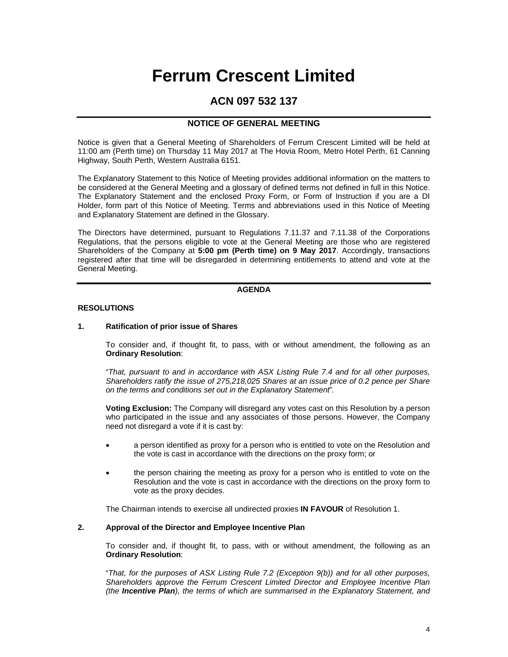# **Ferrum Crescent Limited**

### **ACN 097 532 137**

#### **NOTICE OF GENERAL MEETING**

Notice is given that a General Meeting of Shareholders of Ferrum Crescent Limited will be held at 11:00 am (Perth time) on Thursday 11 May 2017 at The Hovia Room, Metro Hotel Perth, 61 Canning Highway, South Perth, Western Australia 6151.

The Explanatory Statement to this Notice of Meeting provides additional information on the matters to be considered at the General Meeting and a glossary of defined terms not defined in full in this Notice. The Explanatory Statement and the enclosed Proxy Form, or Form of Instruction if you are a DI Holder, form part of this Notice of Meeting. Terms and abbreviations used in this Notice of Meeting and Explanatory Statement are defined in the Glossary.

The Directors have determined, pursuant to Regulations 7.11.37 and 7.11.38 of the Corporations Regulations, that the persons eligible to vote at the General Meeting are those who are registered Shareholders of the Company at **5:00 pm (Perth time) on 9 May 2017**. Accordingly, transactions registered after that time will be disregarded in determining entitlements to attend and vote at the General Meeting.

#### **AGENDA**

#### **RESOLUTIONS**

#### **1. Ratification of prior issue of Shares**

To consider and, if thought fit, to pass, with or without amendment, the following as an **Ordinary Resolution**:

"*That, pursuant to and in accordance with ASX Listing Rule 7.4 and for all other purposes, Shareholders ratify the issue of 275,218,025 Shares at an issue price of 0.2 pence per Share on the terms and conditions set out in the Explanatory Statement*"*.* 

**Voting Exclusion:** The Company will disregard any votes cast on this Resolution by a person who participated in the issue and any associates of those persons. However, the Company need not disregard a vote if it is cast by:

- a person identified as proxy for a person who is entitled to vote on the Resolution and the vote is cast in accordance with the directions on the proxy form; or
- the person chairing the meeting as proxy for a person who is entitled to vote on the Resolution and the vote is cast in accordance with the directions on the proxy form to vote as the proxy decides.

The Chairman intends to exercise all undirected proxies **IN FAVOUR** of Resolution 1.

#### **2. Approval of the Director and Employee Incentive Plan**

To consider and, if thought fit, to pass, with or without amendment, the following as an **Ordinary Resolution**:

"*That, for the purposes of ASX Listing Rule 7.2 (Exception 9(b)) and for all other purposes, Shareholders approve the Ferrum Crescent Limited Director and Employee Incentive Plan (the Incentive Plan), the terms of which are summarised in the Explanatory Statement, and*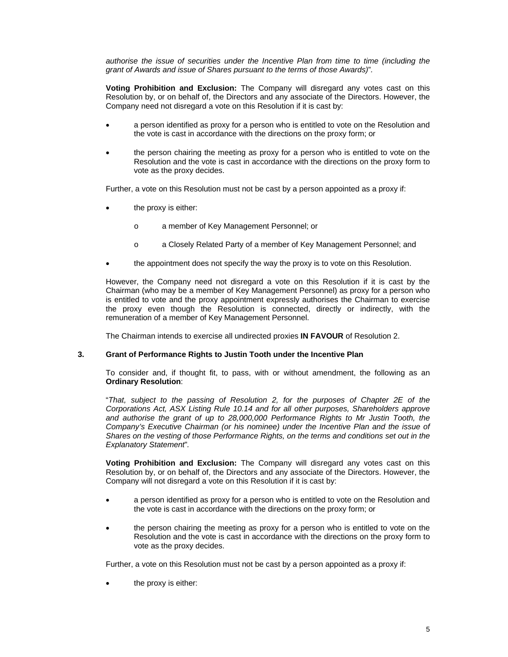*authorise the issue of securities under the Incentive Plan from time to time (including the grant of Awards and issue of Shares pursuant to the terms of those Awards)*"*.* 

**Voting Prohibition and Exclusion:** The Company will disregard any votes cast on this Resolution by, or on behalf of, the Directors and any associate of the Directors. However, the Company need not disregard a vote on this Resolution if it is cast by:

- a person identified as proxy for a person who is entitled to vote on the Resolution and the vote is cast in accordance with the directions on the proxy form; or
- the person chairing the meeting as proxy for a person who is entitled to vote on the Resolution and the vote is cast in accordance with the directions on the proxy form to vote as the proxy decides.

Further, a vote on this Resolution must not be cast by a person appointed as a proxy if:

- the proxy is either:
	- o a member of Key Management Personnel; or
	- o a Closely Related Party of a member of Key Management Personnel; and
- the appointment does not specify the way the proxy is to vote on this Resolution.

However, the Company need not disregard a vote on this Resolution if it is cast by the Chairman (who may be a member of Key Management Personnel) as proxy for a person who is entitled to vote and the proxy appointment expressly authorises the Chairman to exercise the proxy even though the Resolution is connected, directly or indirectly, with the remuneration of a member of Key Management Personnel.

The Chairman intends to exercise all undirected proxies **IN FAVOUR** of Resolution 2.

#### **3. Grant of Performance Rights to Justin Tooth under the Incentive Plan**

To consider and, if thought fit, to pass, with or without amendment, the following as an **Ordinary Resolution**:

"*That, subject to the passing of Resolution 2, for the purposes of Chapter 2E of the Corporations Act, ASX Listing Rule 10.14 and for all other purposes, Shareholders approve and authorise the grant of up to 28,000,000 Performance Rights to Mr Justin Tooth, the Company's Executive Chairman (or his nominee) under the Incentive Plan and the issue of Shares on the vesting of those Performance Rights, on the terms and conditions set out in the Explanatory Statement*"*.* 

**Voting Prohibition and Exclusion:** The Company will disregard any votes cast on this Resolution by, or on behalf of, the Directors and any associate of the Directors. However, the Company will not disregard a vote on this Resolution if it is cast by:

- a person identified as proxy for a person who is entitled to vote on the Resolution and the vote is cast in accordance with the directions on the proxy form; or
- the person chairing the meeting as proxy for a person who is entitled to vote on the Resolution and the vote is cast in accordance with the directions on the proxy form to vote as the proxy decides.

Further, a vote on this Resolution must not be cast by a person appointed as a proxy if:

the proxy is either: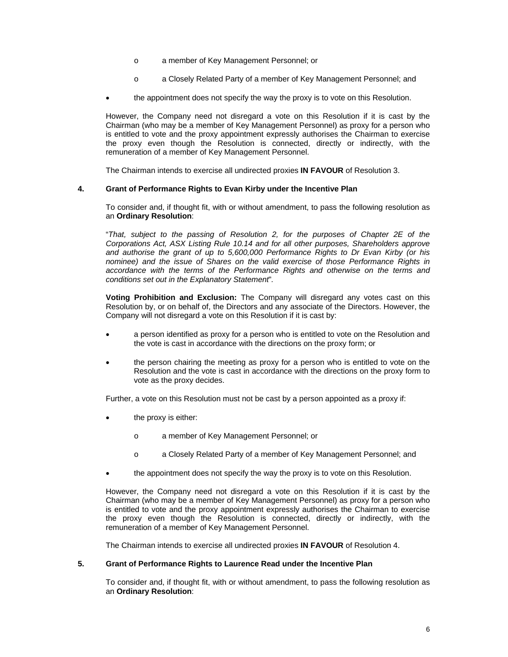- o a member of Key Management Personnel; or
- o a Closely Related Party of a member of Key Management Personnel; and
- the appointment does not specify the way the proxy is to vote on this Resolution.

However, the Company need not disregard a vote on this Resolution if it is cast by the Chairman (who may be a member of Key Management Personnel) as proxy for a person who is entitled to vote and the proxy appointment expressly authorises the Chairman to exercise the proxy even though the Resolution is connected, directly or indirectly, with the remuneration of a member of Key Management Personnel.

The Chairman intends to exercise all undirected proxies **IN FAVOUR** of Resolution 3.

#### **4. Grant of Performance Rights to Evan Kirby under the Incentive Plan**

To consider and, if thought fit, with or without amendment, to pass the following resolution as an **Ordinary Resolution**:

"*That, subject to the passing of Resolution 2, for the purposes of Chapter 2E of the Corporations Act, ASX Listing Rule 10.14 and for all other purposes, Shareholders approve and authorise the grant of up to 5,600,000 Performance Rights to Dr Evan Kirby (or his nominee) and the issue of Shares on the valid exercise of those Performance Rights in accordance with the terms of the Performance Rights and otherwise on the terms and conditions set out in the Explanatory Statement*"*.*

**Voting Prohibition and Exclusion:** The Company will disregard any votes cast on this Resolution by, or on behalf of, the Directors and any associate of the Directors. However, the Company will not disregard a vote on this Resolution if it is cast by:

- a person identified as proxy for a person who is entitled to vote on the Resolution and the vote is cast in accordance with the directions on the proxy form; or
- the person chairing the meeting as proxy for a person who is entitled to vote on the Resolution and the vote is cast in accordance with the directions on the proxy form to vote as the proxy decides.

Further, a vote on this Resolution must not be cast by a person appointed as a proxy if:

- the proxy is either:
	- o a member of Key Management Personnel; or
	- o a Closely Related Party of a member of Key Management Personnel; and
- the appointment does not specify the way the proxy is to vote on this Resolution.

However, the Company need not disregard a vote on this Resolution if it is cast by the Chairman (who may be a member of Key Management Personnel) as proxy for a person who is entitled to vote and the proxy appointment expressly authorises the Chairman to exercise the proxy even though the Resolution is connected, directly or indirectly, with the remuneration of a member of Key Management Personnel.

The Chairman intends to exercise all undirected proxies **IN FAVOUR** of Resolution 4.

#### **5. Grant of Performance Rights to Laurence Read under the Incentive Plan**

To consider and, if thought fit, with or without amendment, to pass the following resolution as an **Ordinary Resolution**: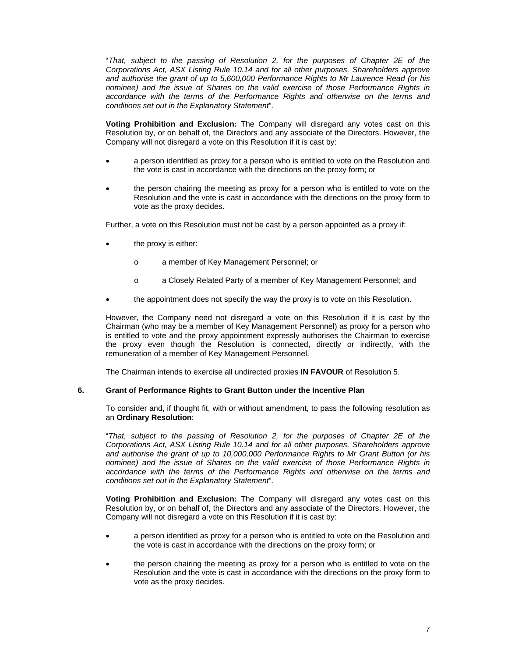"*That, subject to the passing of Resolution 2, for the purposes of Chapter 2E of the Corporations Act, ASX Listing Rule 10.14 and for all other purposes, Shareholders approve and authorise the grant of up to 5,600,000 Performance Rights to Mr Laurence Read (or his nominee) and the issue of Shares on the valid exercise of those Performance Rights in accordance with the terms of the Performance Rights and otherwise on the terms and conditions set out in the Explanatory Statement*"*.* 

**Voting Prohibition and Exclusion:** The Company will disregard any votes cast on this Resolution by, or on behalf of, the Directors and any associate of the Directors. However, the Company will not disregard a vote on this Resolution if it is cast by:

- a person identified as proxy for a person who is entitled to vote on the Resolution and the vote is cast in accordance with the directions on the proxy form; or
- the person chairing the meeting as proxy for a person who is entitled to vote on the Resolution and the vote is cast in accordance with the directions on the proxy form to vote as the proxy decides.

Further, a vote on this Resolution must not be cast by a person appointed as a proxy if:

- the proxy is either:
	- o a member of Key Management Personnel; or
	- o a Closely Related Party of a member of Key Management Personnel; and
- the appointment does not specify the way the proxy is to vote on this Resolution.

However, the Company need not disregard a vote on this Resolution if it is cast by the Chairman (who may be a member of Key Management Personnel) as proxy for a person who is entitled to vote and the proxy appointment expressly authorises the Chairman to exercise the proxy even though the Resolution is connected, directly or indirectly, with the remuneration of a member of Key Management Personnel.

The Chairman intends to exercise all undirected proxies **IN FAVOUR** of Resolution 5.

#### **6. Grant of Performance Rights to Grant Button under the Incentive Plan**

To consider and, if thought fit, with or without amendment, to pass the following resolution as an **Ordinary Resolution**:

"*That, subject to the passing of Resolution 2, for the purposes of Chapter 2E of the Corporations Act, ASX Listing Rule 10.14 and for all other purposes, Shareholders approve and authorise the grant of up to 10,000,000 Performance Rights to Mr Grant Button (or his nominee) and the issue of Shares on the valid exercise of those Performance Rights in accordance with the terms of the Performance Rights and otherwise on the terms and conditions set out in the Explanatory Statement*"*.* 

**Voting Prohibition and Exclusion:** The Company will disregard any votes cast on this Resolution by, or on behalf of, the Directors and any associate of the Directors. However, the Company will not disregard a vote on this Resolution if it is cast by:

- a person identified as proxy for a person who is entitled to vote on the Resolution and the vote is cast in accordance with the directions on the proxy form; or
- the person chairing the meeting as proxy for a person who is entitled to vote on the Resolution and the vote is cast in accordance with the directions on the proxy form to vote as the proxy decides.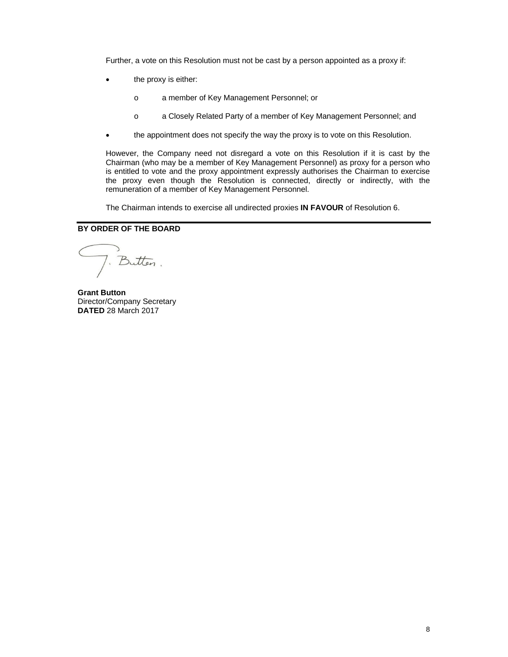Further, a vote on this Resolution must not be cast by a person appointed as a proxy if:

- the proxy is either:
	- o a member of Key Management Personnel; or
	- o a Closely Related Party of a member of Key Management Personnel; and
- the appointment does not specify the way the proxy is to vote on this Resolution.

However, the Company need not disregard a vote on this Resolution if it is cast by the Chairman (who may be a member of Key Management Personnel) as proxy for a person who is entitled to vote and the proxy appointment expressly authorises the Chairman to exercise the proxy even though the Resolution is connected, directly or indirectly, with the remuneration of a member of Key Management Personnel.

The Chairman intends to exercise all undirected proxies **IN FAVOUR** of Resolution 6.

#### **BY ORDER OF THE BOARD**

). Butten.

**Grant Button**  Director/Company Secretary **DATED** 28 March 2017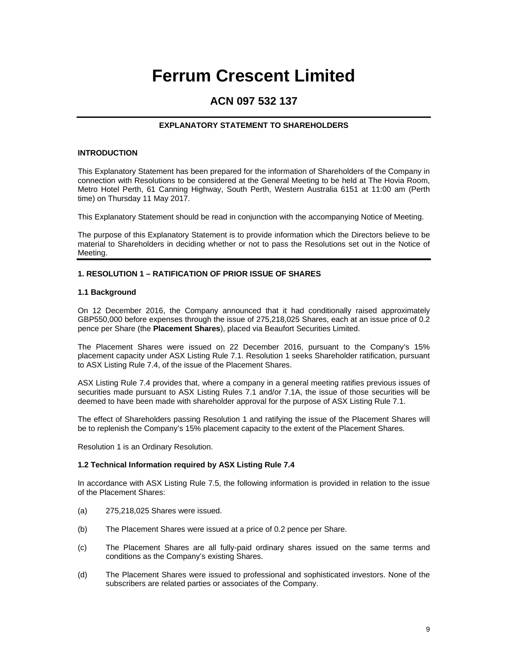# **Ferrum Crescent Limited**

## **ACN 097 532 137**

#### **EXPLANATORY STATEMENT TO SHAREHOLDERS**

#### **INTRODUCTION**

This Explanatory Statement has been prepared for the information of Shareholders of the Company in connection with Resolutions to be considered at the General Meeting to be held at The Hovia Room, Metro Hotel Perth, 61 Canning Highway, South Perth, Western Australia 6151 at 11:00 am (Perth time) on Thursday 11 May 2017.

This Explanatory Statement should be read in conjunction with the accompanying Notice of Meeting.

The purpose of this Explanatory Statement is to provide information which the Directors believe to be material to Shareholders in deciding whether or not to pass the Resolutions set out in the Notice of Meeting.

#### **1. RESOLUTION 1 – RATIFICATION OF PRIOR ISSUE OF SHARES**

#### **1.1 Background**

On 12 December 2016, the Company announced that it had conditionally raised approximately GBP550,000 before expenses through the issue of 275,218,025 Shares, each at an issue price of 0.2 pence per Share (the **Placement Shares**), placed via Beaufort Securities Limited.

The Placement Shares were issued on 22 December 2016, pursuant to the Company's 15% placement capacity under ASX Listing Rule 7.1. Resolution 1 seeks Shareholder ratification, pursuant to ASX Listing Rule 7.4, of the issue of the Placement Shares.

ASX Listing Rule 7.4 provides that, where a company in a general meeting ratifies previous issues of securities made pursuant to ASX Listing Rules 7.1 and/or 7.1A, the issue of those securities will be deemed to have been made with shareholder approval for the purpose of ASX Listing Rule 7.1.

The effect of Shareholders passing Resolution 1 and ratifying the issue of the Placement Shares will be to replenish the Company's 15% placement capacity to the extent of the Placement Shares.

Resolution 1 is an Ordinary Resolution.

#### **1.2 Technical Information required by ASX Listing Rule 7.4**

In accordance with ASX Listing Rule 7.5, the following information is provided in relation to the issue of the Placement Shares:

- (a) 275,218,025 Shares were issued.
- (b) The Placement Shares were issued at a price of 0.2 pence per Share.
- (c) The Placement Shares are all fully-paid ordinary shares issued on the same terms and conditions as the Company's existing Shares.
- (d) The Placement Shares were issued to professional and sophisticated investors. None of the subscribers are related parties or associates of the Company.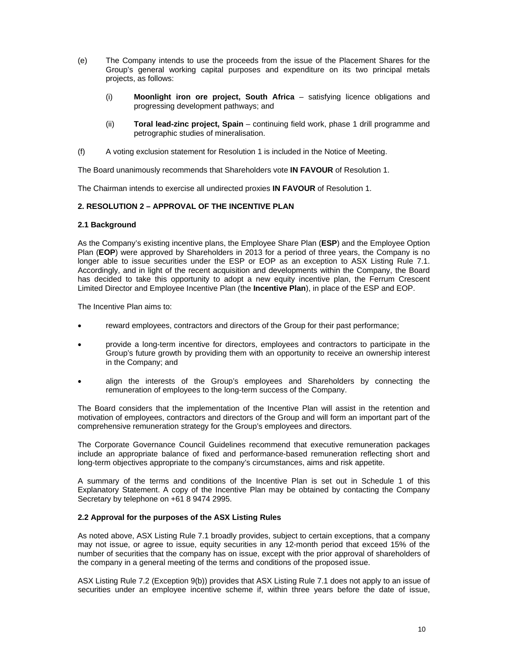- (e) The Company intends to use the proceeds from the issue of the Placement Shares for the Group's general working capital purposes and expenditure on its two principal metals projects, as follows:
	- (i) **Moonlight iron ore project, South Africa** satisfying licence obligations and progressing development pathways; and
	- (ii) **Toral lead-zinc project, Spain** continuing field work, phase 1 drill programme and petrographic studies of mineralisation.
- (f) A voting exclusion statement for Resolution 1 is included in the Notice of Meeting.

The Board unanimously recommends that Shareholders vote **IN FAVOUR** of Resolution 1.

The Chairman intends to exercise all undirected proxies **IN FAVOUR** of Resolution 1.

#### **2. RESOLUTION 2 – APPROVAL OF THE INCENTIVE PLAN**

#### **2.1 Background**

As the Company's existing incentive plans, the Employee Share Plan (**ESP**) and the Employee Option Plan (**EOP**) were approved by Shareholders in 2013 for a period of three years, the Company is no longer able to issue securities under the ESP or EOP as an exception to ASX Listing Rule 7.1. Accordingly, and in light of the recent acquisition and developments within the Company, the Board has decided to take this opportunity to adopt a new equity incentive plan, the Ferrum Crescent Limited Director and Employee Incentive Plan (the **Incentive Plan**), in place of the ESP and EOP.

The Incentive Plan aims to:

- reward employees, contractors and directors of the Group for their past performance;
- provide a long-term incentive for directors, employees and contractors to participate in the Group's future growth by providing them with an opportunity to receive an ownership interest in the Company; and
- align the interests of the Group's employees and Shareholders by connecting the remuneration of employees to the long-term success of the Company.

The Board considers that the implementation of the Incentive Plan will assist in the retention and motivation of employees, contractors and directors of the Group and will form an important part of the comprehensive remuneration strategy for the Group's employees and directors.

The Corporate Governance Council Guidelines recommend that executive remuneration packages include an appropriate balance of fixed and performance-based remuneration reflecting short and long-term objectives appropriate to the company's circumstances, aims and risk appetite.

A summary of the terms and conditions of the Incentive Plan is set out in Schedule 1 of this Explanatory Statement. A copy of the Incentive Plan may be obtained by contacting the Company Secretary by telephone on +61 8 9474 2995.

#### **2.2 Approval for the purposes of the ASX Listing Rules**

As noted above, ASX Listing Rule 7.1 broadly provides, subject to certain exceptions, that a company may not issue, or agree to issue, equity securities in any 12-month period that exceed 15% of the number of securities that the company has on issue, except with the prior approval of shareholders of the company in a general meeting of the terms and conditions of the proposed issue.

ASX Listing Rule 7.2 (Exception 9(b)) provides that ASX Listing Rule 7.1 does not apply to an issue of securities under an employee incentive scheme if, within three years before the date of issue,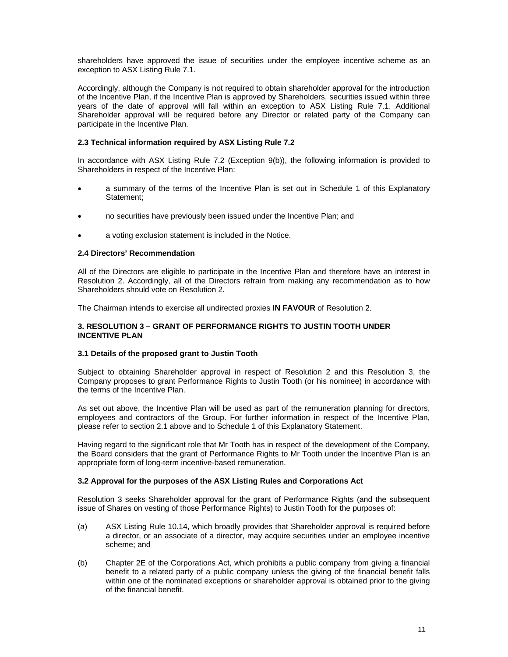shareholders have approved the issue of securities under the employee incentive scheme as an exception to ASX Listing Rule 7.1.

Accordingly, although the Company is not required to obtain shareholder approval for the introduction of the Incentive Plan, if the Incentive Plan is approved by Shareholders, securities issued within three years of the date of approval will fall within an exception to ASX Listing Rule 7.1. Additional Shareholder approval will be required before any Director or related party of the Company can participate in the Incentive Plan.

#### **2.3 Technical information required by ASX Listing Rule 7.2**

In accordance with ASX Listing Rule 7.2 (Exception 9(b)), the following information is provided to Shareholders in respect of the Incentive Plan:

- a summary of the terms of the Incentive Plan is set out in Schedule 1 of this Explanatory Statement;
- no securities have previously been issued under the Incentive Plan; and
- a voting exclusion statement is included in the Notice.

#### **2.4 Directors' Recommendation**

All of the Directors are eligible to participate in the Incentive Plan and therefore have an interest in Resolution 2. Accordingly, all of the Directors refrain from making any recommendation as to how Shareholders should vote on Resolution 2.

The Chairman intends to exercise all undirected proxies **IN FAVOUR** of Resolution 2.

#### **3. RESOLUTION 3 – GRANT OF PERFORMANCE RIGHTS TO JUSTIN TOOTH UNDER INCENTIVE PLAN**

#### **3.1 Details of the proposed grant to Justin Tooth**

Subject to obtaining Shareholder approval in respect of Resolution 2 and this Resolution 3, the Company proposes to grant Performance Rights to Justin Tooth (or his nominee) in accordance with the terms of the Incentive Plan.

As set out above, the Incentive Plan will be used as part of the remuneration planning for directors, employees and contractors of the Group. For further information in respect of the Incentive Plan, please refer to section 2.1 above and to Schedule 1 of this Explanatory Statement.

Having regard to the significant role that Mr Tooth has in respect of the development of the Company, the Board considers that the grant of Performance Rights to Mr Tooth under the Incentive Plan is an appropriate form of long-term incentive-based remuneration.

#### **3.2 Approval for the purposes of the ASX Listing Rules and Corporations Act**

Resolution 3 seeks Shareholder approval for the grant of Performance Rights (and the subsequent issue of Shares on vesting of those Performance Rights) to Justin Tooth for the purposes of:

- (a) ASX Listing Rule 10.14, which broadly provides that Shareholder approval is required before a director, or an associate of a director, may acquire securities under an employee incentive scheme; and
- (b) Chapter 2E of the Corporations Act, which prohibits a public company from giving a financial benefit to a related party of a public company unless the giving of the financial benefit falls within one of the nominated exceptions or shareholder approval is obtained prior to the giving of the financial benefit.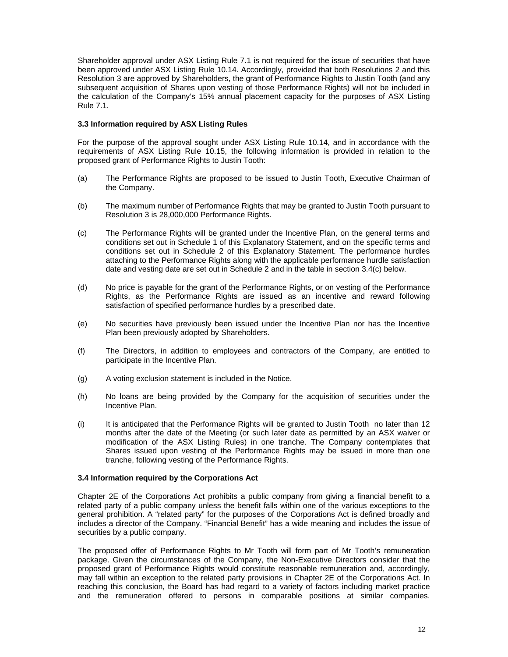Shareholder approval under ASX Listing Rule 7.1 is not required for the issue of securities that have been approved under ASX Listing Rule 10.14. Accordingly, provided that both Resolutions 2 and this Resolution 3 are approved by Shareholders, the grant of Performance Rights to Justin Tooth (and any subsequent acquisition of Shares upon vesting of those Performance Rights) will not be included in the calculation of the Company's 15% annual placement capacity for the purposes of ASX Listing Rule 7.1.

#### **3.3 Information required by ASX Listing Rules**

For the purpose of the approval sought under ASX Listing Rule 10.14, and in accordance with the requirements of ASX Listing Rule 10.15, the following information is provided in relation to the proposed grant of Performance Rights to Justin Tooth:

- (a) The Performance Rights are proposed to be issued to Justin Tooth, Executive Chairman of the Company.
- (b) The maximum number of Performance Rights that may be granted to Justin Tooth pursuant to Resolution 3 is 28,000,000 Performance Rights.
- (c) The Performance Rights will be granted under the Incentive Plan, on the general terms and conditions set out in Schedule 1 of this Explanatory Statement, and on the specific terms and conditions set out in Schedule 2 of this Explanatory Statement. The performance hurdles attaching to the Performance Rights along with the applicable performance hurdle satisfaction date and vesting date are set out in Schedule 2 and in the table in section 3.4(c) below.
- (d) No price is payable for the grant of the Performance Rights, or on vesting of the Performance Rights, as the Performance Rights are issued as an incentive and reward following satisfaction of specified performance hurdles by a prescribed date.
- (e) No securities have previously been issued under the Incentive Plan nor has the Incentive Plan been previously adopted by Shareholders.
- (f) The Directors, in addition to employees and contractors of the Company, are entitled to participate in the Incentive Plan.
- (g) A voting exclusion statement is included in the Notice.
- (h) No loans are being provided by the Company for the acquisition of securities under the Incentive Plan.
- (i) It is anticipated that the Performance Rights will be granted to Justin Tooth no later than 12 months after the date of the Meeting (or such later date as permitted by an ASX waiver or modification of the ASX Listing Rules) in one tranche. The Company contemplates that Shares issued upon vesting of the Performance Rights may be issued in more than one tranche, following vesting of the Performance Rights.

#### **3.4 Information required by the Corporations Act**

Chapter 2E of the Corporations Act prohibits a public company from giving a financial benefit to a related party of a public company unless the benefit falls within one of the various exceptions to the general prohibition. A "related party" for the purposes of the Corporations Act is defined broadly and includes a director of the Company. "Financial Benefit" has a wide meaning and includes the issue of securities by a public company.

The proposed offer of Performance Rights to Mr Tooth will form part of Mr Tooth's remuneration package. Given the circumstances of the Company, the Non-Executive Directors consider that the proposed grant of Performance Rights would constitute reasonable remuneration and, accordingly, may fall within an exception to the related party provisions in Chapter 2E of the Corporations Act. In reaching this conclusion, the Board has had regard to a variety of factors including market practice and the remuneration offered to persons in comparable positions at similar companies.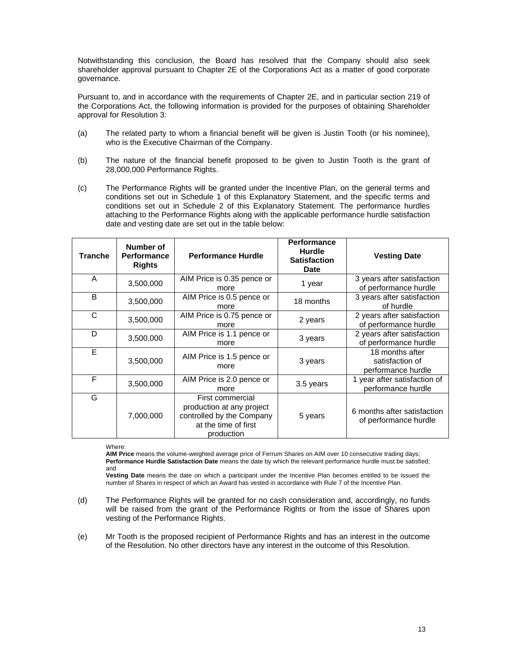Notwithstanding this conclusion, the Board has resolved that the Company should also seek shareholder approval pursuant to Chapter 2E of the Corporations Act as a matter of good corporate governance.

Pursuant to, and in accordance with the requirements of Chapter 2E, and in particular section 219 of the Corporations Act, the following information is provided for the purposes of obtaining Shareholder approval for Resolution 3:

- (a) The related party to whom a financial benefit will be given is Justin Tooth (or his nominee), who is the Executive Chairman of the Company.
- (b) The nature of the financial benefit proposed to be given to Justin Tooth is the grant of 28,000,000 Performance Rights.
- (c) The Performance Rights will be granted under the Incentive Plan, on the general terms and conditions set out in Schedule 1 of this Explanatory Statement, and the specific terms and conditions set out in Schedule 2 of this Explanatory Statement. The performance hurdles attaching to the Performance Rights along with the applicable performance hurdle satisfaction date and vesting date are set out in the table below:

| <b>Tranche</b> | Number of<br><b>Performance</b><br><b>Rights</b> | <b>Performance Hurdle</b>                                                                                        | <b>Performance</b><br><b>Hurdle</b><br><b>Satisfaction</b><br><b>Date</b> | <b>Vesting Date</b>                                      |
|----------------|--------------------------------------------------|------------------------------------------------------------------------------------------------------------------|---------------------------------------------------------------------------|----------------------------------------------------------|
| A              | 3,500,000                                        | AIM Price is 0.35 pence or<br>more                                                                               | 1 year                                                                    | 3 years after satisfaction<br>of performance hurdle      |
| B              | 3,500,000                                        | AIM Price is 0.5 pence or<br>more                                                                                | 18 months                                                                 | 3 years after satisfaction<br>of hurdle                  |
| C              | 3,500,000                                        | AIM Price is 0.75 pence or<br>more                                                                               | 2 years                                                                   | 2 years after satisfaction<br>of performance hurdle      |
| D              | 3,500,000                                        | AIM Price is 1.1 pence or<br>more                                                                                | 3 years                                                                   | 2 years after satisfaction<br>of performance hurdle      |
| E              | 3,500,000                                        | AIM Price is 1.5 pence or<br>more                                                                                | 3 years                                                                   | 18 months after<br>satisfaction of<br>performance hurdle |
| F              | 3,500,000                                        | AIM Price is 2.0 pence or<br>more                                                                                | 3.5 years                                                                 | 1 year after satisfaction of<br>performance hurdle       |
| G              | 7,000,000                                        | First commercial<br>production at any project<br>controlled by the Company<br>at the time of first<br>production | 5 years                                                                   | 6 months after satisfaction<br>of performance hurdle     |

Where:

**AIM Price** means the volume-weighted average price of Ferrum Shares on AIM over 10 consecutive trading days; **Performance Hurdle Satisfaction Date** means the date by which the relevant performance hurdle must be satisfied; and

**Vesting Date** means the date on which a participant under the Incentive Plan becomes entitled to be issued the number of Shares in respect of which an Award has vested in accordance with Rule 7 of the Incentive Plan.

- (d) The Performance Rights will be granted for no cash consideration and, accordingly, no funds will be raised from the grant of the Performance Rights or from the issue of Shares upon vesting of the Performance Rights.
- (e) Mr Tooth is the proposed recipient of Performance Rights and has an interest in the outcome of the Resolution. No other directors have any interest in the outcome of this Resolution.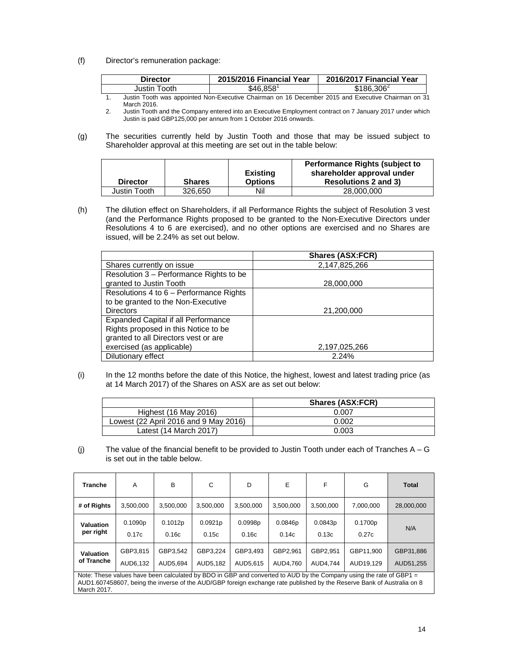(f) Director's remuneration package:

| Director     | 2015/2016 Financial Year                                                                            | 2016/2017 Financial Year |
|--------------|-----------------------------------------------------------------------------------------------------|--------------------------|
| Justin Tooth | \$46.858                                                                                            | \$186.306 <sup>2</sup>   |
|              | lustin Tooth was appointed Non-Executive Chairman on 16 December 2015 and Executive Chairman on 31. |                          |

ve Chairman on 16 December 2015 and Executive Chairman on 31 March 2016.

2. Justin Tooth and the Company entered into an Executive Employment contract on 7 January 2017 under which Justin is paid GBP125,000 per annum from 1 October 2016 onwards.

(g) The securities currently held by Justin Tooth and those that may be issued subject to Shareholder approval at this meeting are set out in the table below:

| <b>Director</b> | <b>Shares</b> | <b>Existing</b><br><b>Options</b> | <b>Performance Rights (subject to</b><br>shareholder approval under<br><b>Resolutions 2 and 3)</b> |
|-----------------|---------------|-----------------------------------|----------------------------------------------------------------------------------------------------|
| Justin Tooth    | 326,650       | Nil                               | 28,000,000                                                                                         |

(h) The dilution effect on Shareholders, if all Performance Rights the subject of Resolution 3 vest (and the Performance Rights proposed to be granted to the Non-Executive Directors under Resolutions 4 to 6 are exercised), and no other options are exercised and no Shares are issued, will be 2.24% as set out below.

|                                         | <b>Shares (ASX:FCR)</b> |
|-----------------------------------------|-------------------------|
| Shares currently on issue               | 2,147,825,266           |
| Resolution 3 - Performance Rights to be |                         |
| granted to Justin Tooth                 | 28,000,000              |
| Resolutions 4 to 6 - Performance Rights |                         |
| to be granted to the Non-Executive      |                         |
| <b>Directors</b>                        | 21,200,000              |
| Expanded Capital if all Performance     |                         |
| Rights proposed in this Notice to be    |                         |
| granted to all Directors vest or are    |                         |
| exercised (as applicable)               | 2,197,025,266           |
| Dilutionary effect                      | 2.24%                   |

(i) In the 12 months before the date of this Notice, the highest, lowest and latest trading price (as at 14 March 2017) of the Shares on ASX are as set out below:

|                                       | <b>Shares (ASX:FCR)</b> |
|---------------------------------------|-------------------------|
| Highest (16 May 2016)                 | 0.007                   |
| Lowest (22 April 2016 and 9 May 2016) | 0.002                   |
| Latest (14 March 2017)                | 0.003                   |

(j) The value of the financial benefit to be provided to Justin Tooth under each of Tranches  $A - G$ is set out in the table below.

| <b>Tranche</b>                                                                                                                                                                                                                                              | A                    | B                    | C                    | D                    | E                    | F                    | G                      | <b>Total</b>           |
|-------------------------------------------------------------------------------------------------------------------------------------------------------------------------------------------------------------------------------------------------------------|----------------------|----------------------|----------------------|----------------------|----------------------|----------------------|------------------------|------------------------|
| # of Rights                                                                                                                                                                                                                                                 | 3,500,000            | 3,500,000            | 3,500,000            | 3,500,000            | 3,500,000            | 3,500,000            | 7,000,000              | 28,000,000             |
| Valuation<br>per right                                                                                                                                                                                                                                      | 0.1090p<br>0.17c     | 0.1012p<br>0.16c     | 0.0921p<br>0.15c     | 0.0998p<br>0.16c     | 0.0846p<br>0.14c     | 0.0843p<br>0.13c     | 0.1700p<br>0.27c       | N/A                    |
| <b>Valuation</b><br>of Tranche                                                                                                                                                                                                                              | GBP3,815<br>AUD6.132 | GBP3.542<br>AUD5.694 | GBP3.224<br>AUD5.182 | GBP3.493<br>AUD5,615 | GBP2.961<br>AUD4.760 | GBP2.951<br>AUD4.744 | GBP11.900<br>AUD19.129 | GBP31.886<br>AUD51.255 |
| Note: These values have been calculated by BDO in GBP and converted to AUD by the Company using the rate of GBP1 =<br>AUD1.607458607, being the inverse of the AUD/GBP foreign exchange rate published by the Reserve Bank of Australia on 8<br>March 2017. |                      |                      |                      |                      |                      |                      |                        |                        |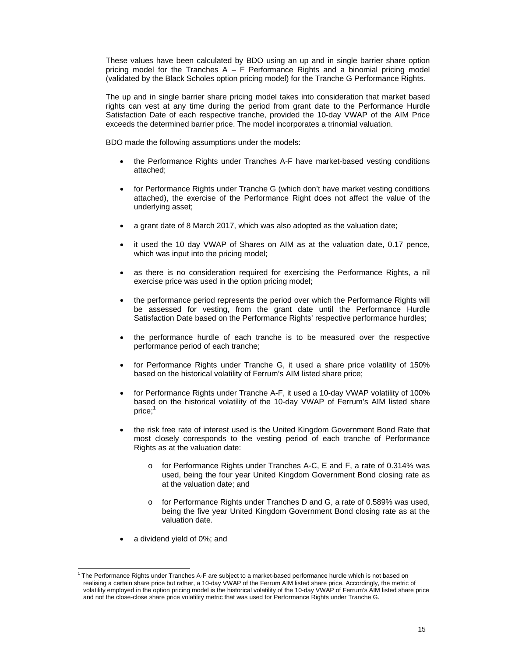These values have been calculated by BDO using an up and in single barrier share option pricing model for the Tranches  $A - F$  Performance Rights and a binomial pricing model (validated by the Black Scholes option pricing model) for the Tranche G Performance Rights.

The up and in single barrier share pricing model takes into consideration that market based rights can vest at any time during the period from grant date to the Performance Hurdle Satisfaction Date of each respective tranche, provided the 10-day VWAP of the AIM Price exceeds the determined barrier price. The model incorporates a trinomial valuation.

BDO made the following assumptions under the models:

- the Performance Rights under Tranches A-F have market-based vesting conditions attached;
- for Performance Rights under Tranche G (which don't have market vesting conditions attached), the exercise of the Performance Right does not affect the value of the underlying asset;
- a grant date of 8 March 2017, which was also adopted as the valuation date;
- it used the 10 day VWAP of Shares on AIM as at the valuation date, 0.17 pence, which was input into the pricing model;
- as there is no consideration required for exercising the Performance Rights, a nil exercise price was used in the option pricing model;
- the performance period represents the period over which the Performance Rights will be assessed for vesting, from the grant date until the Performance Hurdle Satisfaction Date based on the Performance Rights' respective performance hurdles;
- the performance hurdle of each tranche is to be measured over the respective performance period of each tranche;
- for Performance Rights under Tranche G, it used a share price volatility of 150% based on the historical volatility of Ferrum's AIM listed share price;
- for Performance Rights under Tranche A-F, it used a 10-day VWAP volatility of 100% based on the historical volatility of the 10-day VWAP of Ferrum's AIM listed share price;<sup>1</sup>
- the risk free rate of interest used is the United Kingdom Government Bond Rate that most closely corresponds to the vesting period of each tranche of Performance Rights as at the valuation date:
	- o for Performance Rights under Tranches A-C, E and F, a rate of 0.314% was used, being the four year United Kingdom Government Bond closing rate as at the valuation date; and
	- o for Performance Rights under Tranches D and G, a rate of 0.589% was used, being the five year United Kingdom Government Bond closing rate as at the valuation date.
- a dividend yield of 0%; and

<u>.</u>

<sup>&</sup>lt;sup>1</sup> The Performance Rights under Tranches A-F are subject to a market-based performance hurdle which is not based on realising a certain share price but rather, a 10-day VWAP of the Ferrum AIM listed share price. Accordingly, the metric of volatility employed in the option pricing model is the historical volatility of the 10-day VWAP of Ferrum's AIM listed share price and not the close-close share price volatility metric that was used for Performance Rights under Tranche G.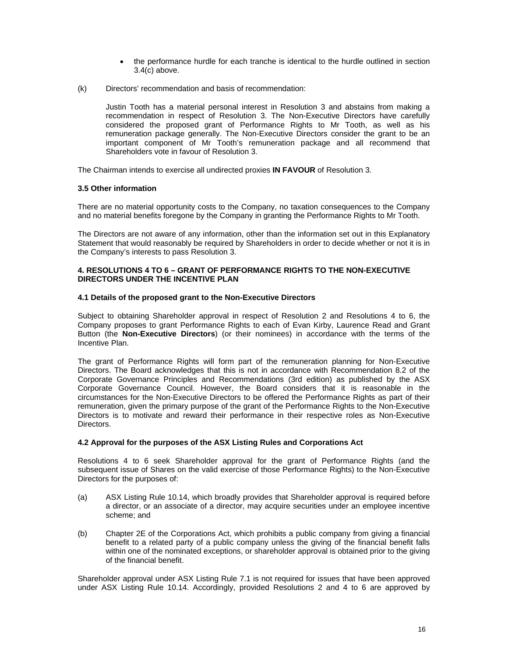- the performance hurdle for each tranche is identical to the hurdle outlined in section 3.4(c) above.
- (k) Directors' recommendation and basis of recommendation:

Justin Tooth has a material personal interest in Resolution 3 and abstains from making a recommendation in respect of Resolution 3. The Non-Executive Directors have carefully considered the proposed grant of Performance Rights to Mr Tooth, as well as his remuneration package generally. The Non-Executive Directors consider the grant to be an important component of Mr Tooth's remuneration package and all recommend that Shareholders vote in favour of Resolution 3.

The Chairman intends to exercise all undirected proxies **IN FAVOUR** of Resolution 3.

#### **3.5 Other information**

There are no material opportunity costs to the Company, no taxation consequences to the Company and no material benefits foregone by the Company in granting the Performance Rights to Mr Tooth.

The Directors are not aware of any information, other than the information set out in this Explanatory Statement that would reasonably be required by Shareholders in order to decide whether or not it is in the Company's interests to pass Resolution 3.

#### **4. RESOLUTIONS 4 TO 6 – GRANT OF PERFORMANCE RIGHTS TO THE NON-EXECUTIVE DIRECTORS UNDER THE INCENTIVE PLAN**

#### **4.1 Details of the proposed grant to the Non-Executive Directors**

Subject to obtaining Shareholder approval in respect of Resolution 2 and Resolutions 4 to 6, the Company proposes to grant Performance Rights to each of Evan Kirby, Laurence Read and Grant Button (the **Non-Executive Directors**) (or their nominees) in accordance with the terms of the Incentive Plan.

The grant of Performance Rights will form part of the remuneration planning for Non-Executive Directors. The Board acknowledges that this is not in accordance with Recommendation 8.2 of the Corporate Governance Principles and Recommendations (3rd edition) as published by the ASX Corporate Governance Council. However, the Board considers that it is reasonable in the circumstances for the Non-Executive Directors to be offered the Performance Rights as part of their remuneration, given the primary purpose of the grant of the Performance Rights to the Non-Executive Directors is to motivate and reward their performance in their respective roles as Non-Executive Directors.

#### **4.2 Approval for the purposes of the ASX Listing Rules and Corporations Act**

Resolutions 4 to 6 seek Shareholder approval for the grant of Performance Rights (and the subsequent issue of Shares on the valid exercise of those Performance Rights) to the Non-Executive Directors for the purposes of:

- (a) ASX Listing Rule 10.14, which broadly provides that Shareholder approval is required before a director, or an associate of a director, may acquire securities under an employee incentive scheme; and
- (b) Chapter 2E of the Corporations Act, which prohibits a public company from giving a financial benefit to a related party of a public company unless the giving of the financial benefit falls within one of the nominated exceptions, or shareholder approval is obtained prior to the giving of the financial benefit.

Shareholder approval under ASX Listing Rule 7.1 is not required for issues that have been approved under ASX Listing Rule 10.14. Accordingly, provided Resolutions 2 and 4 to 6 are approved by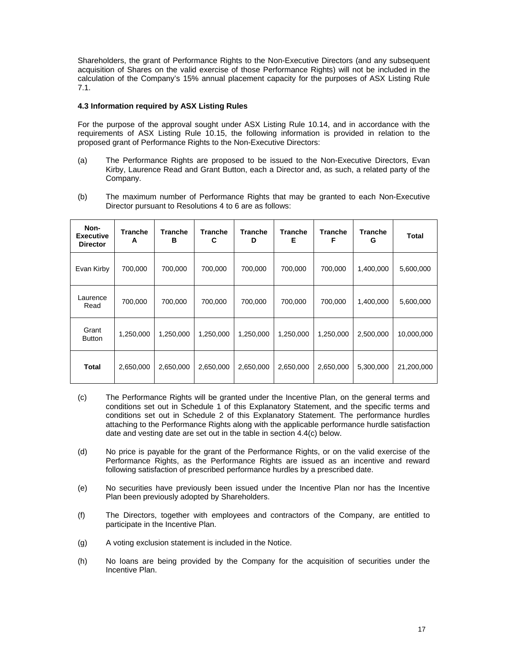Shareholders, the grant of Performance Rights to the Non-Executive Directors (and any subsequent acquisition of Shares on the valid exercise of those Performance Rights) will not be included in the calculation of the Company's 15% annual placement capacity for the purposes of ASX Listing Rule 7.1.

#### **4.3 Information required by ASX Listing Rules**

For the purpose of the approval sought under ASX Listing Rule 10.14, and in accordance with the requirements of ASX Listing Rule 10.15, the following information is provided in relation to the proposed grant of Performance Rights to the Non-Executive Directors:

- (a) The Performance Rights are proposed to be issued to the Non-Executive Directors, Evan Kirby, Laurence Read and Grant Button, each a Director and, as such, a related party of the Company.
- (b) The maximum number of Performance Rights that may be granted to each Non-Executive Director pursuant to Resolutions 4 to 6 are as follows:

| Non-<br><b>Executive</b><br><b>Director</b> | <b>Tranche</b><br>A | Tranche<br>в | <b>Tranche</b><br>C | <b>Tranche</b><br>D | <b>Tranche</b><br>Е | <b>Tranche</b><br>F | <b>Tranche</b><br>G | <b>Total</b> |
|---------------------------------------------|---------------------|--------------|---------------------|---------------------|---------------------|---------------------|---------------------|--------------|
| Evan Kirby                                  | 700,000             | 700,000      | 700,000             | 700,000             | 700,000             | 700,000             | 1,400,000           | 5,600,000    |
| Laurence<br>Read                            | 700.000             | 700.000      | 700.000             | 700.000             | 700.000             | 700.000             | 1,400,000           | 5,600,000    |
| Grant<br><b>Button</b>                      | 1,250,000           | 1,250,000    | 1,250,000           | 1,250,000           | 1,250,000           | 1,250,000           | 2,500,000           | 10,000,000   |
| <b>Total</b>                                | 2,650,000           | 2,650,000    | 2,650,000           | 2,650,000           | 2,650,000           | 2,650,000           | 5,300,000           | 21,200,000   |

- (c) The Performance Rights will be granted under the Incentive Plan, on the general terms and conditions set out in Schedule 1 of this Explanatory Statement, and the specific terms and conditions set out in Schedule 2 of this Explanatory Statement. The performance hurdles attaching to the Performance Rights along with the applicable performance hurdle satisfaction date and vesting date are set out in the table in section 4.4(c) below.
- (d) No price is payable for the grant of the Performance Rights, or on the valid exercise of the Performance Rights, as the Performance Rights are issued as an incentive and reward following satisfaction of prescribed performance hurdles by a prescribed date.
- (e) No securities have previously been issued under the Incentive Plan nor has the Incentive Plan been previously adopted by Shareholders.
- (f) The Directors, together with employees and contractors of the Company, are entitled to participate in the Incentive Plan.
- (g) A voting exclusion statement is included in the Notice.
- (h) No loans are being provided by the Company for the acquisition of securities under the Incentive Plan.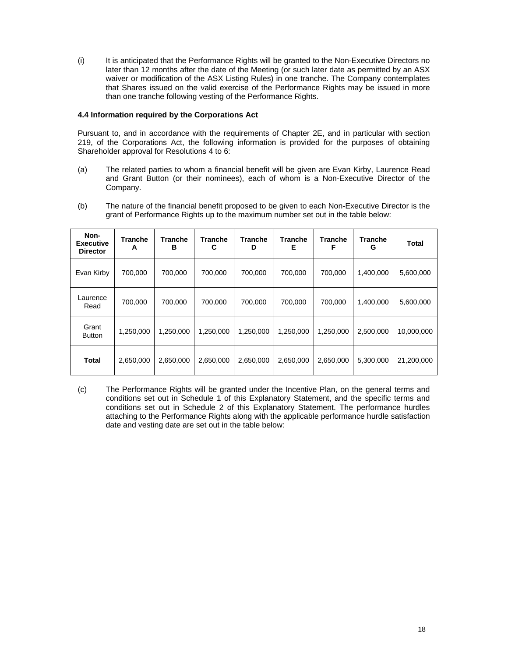(i) It is anticipated that the Performance Rights will be granted to the Non-Executive Directors no later than 12 months after the date of the Meeting (or such later date as permitted by an ASX waiver or modification of the ASX Listing Rules) in one tranche. The Company contemplates that Shares issued on the valid exercise of the Performance Rights may be issued in more than one tranche following vesting of the Performance Rights.

#### **4.4 Information required by the Corporations Act**

Pursuant to, and in accordance with the requirements of Chapter 2E, and in particular with section 219, of the Corporations Act, the following information is provided for the purposes of obtaining Shareholder approval for Resolutions 4 to 6:

- (a) The related parties to whom a financial benefit will be given are Evan Kirby, Laurence Read and Grant Button (or their nominees), each of whom is a Non-Executive Director of the Company.
- (b) The nature of the financial benefit proposed to be given to each Non-Executive Director is the grant of Performance Rights up to the maximum number set out in the table below:

| Non-<br><b>Executive</b><br><b>Director</b> | <b>Tranche</b><br>А | <b>Tranche</b><br>в | <b>Tranche</b><br>С | <b>Tranche</b><br>D | <b>Tranche</b><br>Е | <b>Tranche</b><br>F | <b>Tranche</b><br>G | <b>Total</b> |
|---------------------------------------------|---------------------|---------------------|---------------------|---------------------|---------------------|---------------------|---------------------|--------------|
| Evan Kirby                                  | 700.000             | 700.000             | 700.000             | 700.000             | 700.000             | 700.000             | 1,400,000           | 5,600,000    |
| Laurence<br>Read                            | 700,000             | 700,000             | 700,000             | 700,000             | 700,000             | 700,000             | 1,400,000           | 5,600,000    |
| Grant<br><b>Button</b>                      | 1,250,000           | 1,250,000           | 1,250,000           | 1,250,000           | 1,250,000           | 1,250,000           | 2,500,000           | 10,000,000   |
| <b>Total</b>                                | 2,650,000           | 2,650,000           | 2,650,000           | 2,650,000           | 2,650,000           | 2,650,000           | 5,300,000           | 21,200,000   |

(c) The Performance Rights will be granted under the Incentive Plan, on the general terms and conditions set out in Schedule 1 of this Explanatory Statement, and the specific terms and conditions set out in Schedule 2 of this Explanatory Statement. The performance hurdles attaching to the Performance Rights along with the applicable performance hurdle satisfaction date and vesting date are set out in the table below: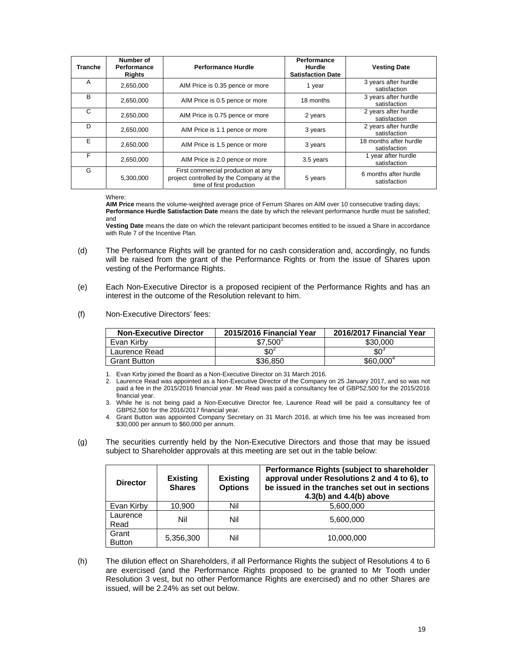| <b>Tranche</b> | Number of<br><b>Performance</b><br><b>Rights</b> | <b>Performance Hurdle</b>                                                                                  | Performance<br>Hurdle<br><b>Satisfaction Date</b> | <b>Vesting Date</b>                    |
|----------------|--------------------------------------------------|------------------------------------------------------------------------------------------------------------|---------------------------------------------------|----------------------------------------|
| A              | 2,650,000                                        | AIM Price is 0.35 pence or more                                                                            | 1 year                                            | 3 years after hurdle<br>satisfaction   |
| B              | 2,650,000                                        | AIM Price is 0.5 pence or more                                                                             | 18 months                                         | 3 years after hurdle<br>satisfaction   |
| C              | 2,650,000                                        | AIM Price is 0.75 pence or more                                                                            | 2 years                                           | 2 years after hurdle<br>satisfaction   |
| D              | 2.650.000                                        | AIM Price is 1.1 pence or more                                                                             | 3 years                                           | 2 years after hurdle<br>satisfaction   |
| F              | 2,650,000                                        | AIM Price is 1.5 pence or more                                                                             | 3 years                                           | 18 months after hurdle<br>satisfaction |
| F              | 2,650,000                                        | AIM Price is 2.0 pence or more                                                                             | 3.5 years                                         | 1 year after hurdle<br>satisfaction    |
| G              | 5,300,000                                        | First commercial production at any<br>project controlled by the Company at the<br>time of first production | 5 years                                           | 6 months after hurdle<br>satisfaction  |

#### Where:

**AIM Price** means the volume-weighted average price of Ferrum Shares on AIM over 10 consecutive trading days; **Performance Hurdle Satisfaction Date** means the date by which the relevant performance hurdle must be satisfied; and

**Vesting Date** means the date on which the relevant participant becomes entitled to be issued a Share in accordance with Rule 7 of the Incentive Plan.

- (d) The Performance Rights will be granted for no cash consideration and, accordingly, no funds will be raised from the grant of the Performance Rights or from the issue of Shares upon vesting of the Performance Rights.
- (e) Each Non-Executive Director is a proposed recipient of the Performance Rights and has an interest in the outcome of the Resolution relevant to him.
- (f) Non-Executive Directors' fees:

| <b>Non-Executive Director</b> | 2015/2016 Financial Year | 2016/2017 Financial Year |
|-------------------------------|--------------------------|--------------------------|
| Evan Kirby                    | \$7,500                  | \$30,000                 |
| Laurence Read                 | $$0^2$                   | $$0^3$                   |
| <b>Grant Button</b>           | \$36.850                 | \$60,000 <sup>4</sup>    |

1. Evan Kirby joined the Board as a Non-Executive Director on 31 March 2016.

2. Laurence Read was appointed as a Non-Executive Director of the Company on 25 January 2017, and so was not paid a fee in the 2015/2016 financial year. Mr Read was paid a consultancy fee of GBP52,500 for the 2015/2016 financial year.

3. While he is not being paid a Non-Executive Director fee, Laurence Read will be paid a consultancy fee of GBP52,500 for the 2016/2017 financial year.

- 4. Grant Button was appointed Company Secretary on 31 March 2016, at which time his fee was increased from \$30,000 per annum to \$60,000 per annum.
- (g) The securities currently held by the Non-Executive Directors and those that may be issued subject to Shareholder approvals at this meeting are set out in the table below:

| <b>Director</b>        | <b>Existing</b><br><b>Shares</b> | <b>Existing</b><br><b>Options</b> | Performance Rights (subject to shareholder<br>approval under Resolutions 2 and 4 to 6), to<br>be issued in the tranches set out in sections<br>$4.3(b)$ and $4.4(b)$ above |
|------------------------|----------------------------------|-----------------------------------|----------------------------------------------------------------------------------------------------------------------------------------------------------------------------|
| Evan Kirby             | 10,900                           | Nil                               | 5,600,000                                                                                                                                                                  |
| Laurence<br>Read       | Nil                              | Nil                               | 5,600,000                                                                                                                                                                  |
| Grant<br><b>Button</b> | 5.356.300                        | Nil                               | 10,000,000                                                                                                                                                                 |

(h) The dilution effect on Shareholders, if all Performance Rights the subject of Resolutions 4 to 6 are exercised (and the Performance Rights proposed to be granted to Mr Tooth under Resolution 3 vest, but no other Performance Rights are exercised) and no other Shares are issued, will be 2.24% as set out below.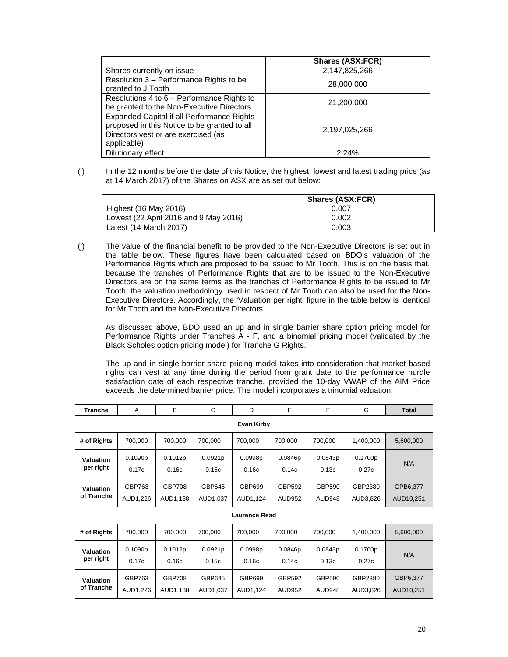|                                                                                                                                                  | <b>Shares (ASX:FCR)</b> |
|--------------------------------------------------------------------------------------------------------------------------------------------------|-------------------------|
| Shares currently on issue                                                                                                                        | 2,147,825,266           |
| Resolution 3 - Performance Rights to be<br>granted to J Tooth                                                                                    | 28,000,000              |
| Resolutions 4 to 6 - Performance Rights to<br>be granted to the Non-Executive Directors                                                          | 21,200,000              |
| Expanded Capital if all Performance Rights<br>proposed in this Notice to be granted to all<br>Directors vest or are exercised (as<br>applicable) | 2,197,025,266           |
| Dilutionary effect                                                                                                                               | 2.24%                   |

(i) In the 12 months before the date of this Notice, the highest, lowest and latest trading price (as at 14 March 2017) of the Shares on ASX are as set out below:

|                                       | <b>Shares (ASX:FCR)</b> |
|---------------------------------------|-------------------------|
| Highest (16 May 2016)                 | 0.007                   |
| Lowest (22 April 2016 and 9 May 2016) | 0.002                   |
| Latest (14 March 2017)                | 0.003                   |

(j) The value of the financial benefit to be provided to the Non-Executive Directors is set out in the table below. These figures have been calculated based on BDO's valuation of the Performance Rights which are proposed to be issued to Mr Tooth. This is on the basis that, because the tranches of Performance Rights that are to be issued to the Non-Executive Directors are on the same terms as the tranches of Performance Rights to be issued to Mr Tooth, the valuation methodology used in respect of Mr Tooth can also be used for the Non-Executive Directors. Accordingly, the 'Valuation per right' figure in the table below is identical for Mr Tooth and the Non-Executive Directors.

As discussed above, BDO used an up and in single barrier share option pricing model for Performance Rights under Tranches A - F, and a binomial pricing model (validated by the Black Scholes option pricing model) for Tranche G Rights.

The up and in single barrier share pricing model takes into consideration that market based rights can vest at any time during the period from grant date to the performance hurdle satisfaction date of each respective tranche, provided the 10-day VWAP of the AIM Price exceeds the determined barrier price. The model incorporates a trinomial valuation.

| <b>Tranche</b>          | A                  | B                         | C                  | D                  | E                       | F                | G                   | <b>Total</b>          |
|-------------------------|--------------------|---------------------------|--------------------|--------------------|-------------------------|------------------|---------------------|-----------------------|
|                         | <b>Evan Kirby</b>  |                           |                    |                    |                         |                  |                     |                       |
| # of Rights             | 700,000            | 700,000                   | 700,000            | 700,000            | 700,000                 | 700,000          | 1,400,000           | 5,600,000             |
| Valuation<br>per right  | 0.1090p<br>0.17c   | 0.1012p<br>0.16c          | 0.0921p<br>0.15c   | 0.0998p<br>0.16c   | 0.0846p<br>0.14c        | 0.0843p<br>0.13c | 0.1700p<br>0.27c    | N/A                   |
| Valuation<br>of Tranche | GBP763<br>AUD1,226 | <b>GBP708</b><br>AUD1,138 | GBP645<br>AUD1,037 | GBP699<br>AUD1,124 | GBP592<br><b>AUD952</b> | GBP590<br>AUD948 | GBP2380<br>AUD3,826 | GPB6,377<br>AUD10,251 |
| <b>Laurence Read</b>    |                    |                           |                    |                    |                         |                  |                     |                       |
| # of Rights             | 700,000            | 700,000                   | 700,000            | 700,000            | 700,000                 | 700,000          | 1,400,000           | 5,600,000             |
| Valuation<br>per right  | 0.1090p<br>0.17c   | 0.1012p<br>0.16c          | 0.0921p<br>0.15c   | 0.0998p<br>0.16c   | 0.0846p<br>0.14c        | 0.0843p<br>0.13c | 0.1700p<br>0.27c    | N/A                   |
| Valuation<br>of Tranche | GBP763<br>AUD1,226 | <b>GBP708</b><br>AUD1,138 | GBP645<br>AUD1,037 | GBP699<br>AUD1,124 | GBP592<br><b>AUD952</b> | GBP590<br>AUD948 | GBP2380<br>AUD3,826 | GBP6,377<br>AUD10,251 |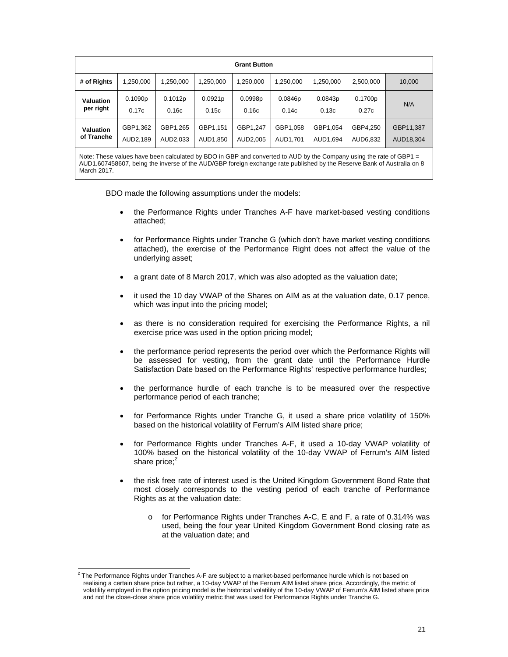|                  | <b>Grant Button</b> |           |           |           |           |           |           |           |
|------------------|---------------------|-----------|-----------|-----------|-----------|-----------|-----------|-----------|
| # of Rights      | .250,000            | 1,250,000 | 1,250,000 | 1,250,000 | 1,250,000 | 1,250,000 | 2,500,000 | 10,000    |
| Valuation        | 0.1090p             | 0.1012p   | 0.0921p   | 0.0998p   | 0.0846p   | 0.0843p   | 0.1700p   | N/A       |
| per right        | 0.17c               | 0.16c     | 0.15c     | 0.16c     | 0.14c     | 0.13c     | 0.27c     |           |
| <b>Valuation</b> | GBP1,362            | GBP1,265  | GBP1,151  | GBP1.247  | GBP1,058  | GBP1,054  | GBP4.250  | GBP11,387 |
| of Tranche       | AUD2,189            | AUD2.033  | AUD1.850  | AUD2.005  | AUD1.701  | AUD1.694  | AUD6,832  | AUD18,304 |

Note: These values have been calculated by BDO in GBP and converted to AUD by the Company using the rate of GBP1  $=$ AUD1.607458607, being the inverse of the AUD/GBP foreign exchange rate published by the Reserve Bank of Australia on 8 March 2017.

BDO made the following assumptions under the models:

- the Performance Rights under Tranches A-F have market-based vesting conditions attached;
- for Performance Rights under Tranche G (which don't have market vesting conditions attached), the exercise of the Performance Right does not affect the value of the underlying asset;
- a grant date of 8 March 2017, which was also adopted as the valuation date;
- it used the 10 day VWAP of the Shares on AIM as at the valuation date, 0.17 pence, which was input into the pricing model;
- as there is no consideration required for exercising the Performance Rights, a nil exercise price was used in the option pricing model;
- the performance period represents the period over which the Performance Rights will be assessed for vesting, from the grant date until the Performance Hurdle Satisfaction Date based on the Performance Rights' respective performance hurdles;
- the performance hurdle of each tranche is to be measured over the respective performance period of each tranche;
- for Performance Rights under Tranche G, it used a share price volatility of 150% based on the historical volatility of Ferrum's AIM listed share price;
- for Performance Rights under Tranches A-F, it used a 10-day VWAP volatility of 100% based on the historical volatility of the 10-day VWAP of Ferrum's AIM listed share price; $2$
- the risk free rate of interest used is the United Kingdom Government Bond Rate that most closely corresponds to the vesting period of each tranche of Performance Rights as at the valuation date:
	- o for Performance Rights under Tranches A-C, E and F, a rate of 0.314% was used, being the four year United Kingdom Government Bond closing rate as at the valuation date; and

 2 The Performance Rights under Tranches A-F are subject to a market-based performance hurdle which is not based on realising a certain share price but rather, a 10-day VWAP of the Ferrum AIM listed share price. Accordingly, the metric of volatility employed in the option pricing model is the historical volatility of the 10-day VWAP of Ferrum's AIM listed share price and not the close-close share price volatility metric that was used for Performance Rights under Tranche G.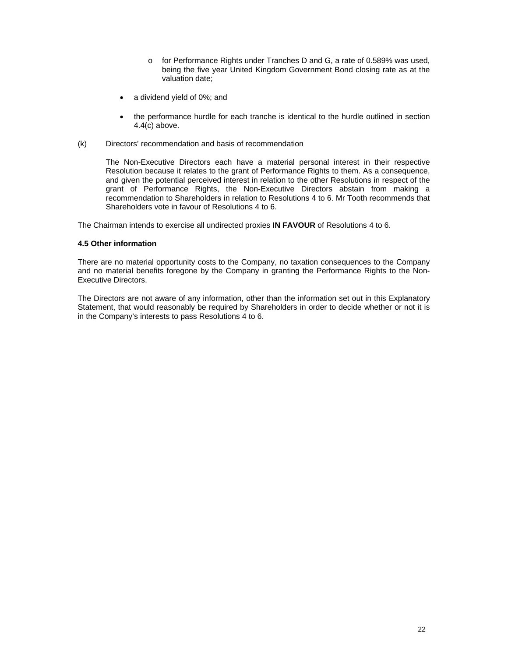- o for Performance Rights under Tranches D and G, a rate of 0.589% was used, being the five year United Kingdom Government Bond closing rate as at the valuation date;
- a dividend yield of 0%; and
- the performance hurdle for each tranche is identical to the hurdle outlined in section 4.4(c) above.
- (k) Directors' recommendation and basis of recommendation

The Non-Executive Directors each have a material personal interest in their respective Resolution because it relates to the grant of Performance Rights to them. As a consequence, and given the potential perceived interest in relation to the other Resolutions in respect of the grant of Performance Rights, the Non-Executive Directors abstain from making a recommendation to Shareholders in relation to Resolutions 4 to 6. Mr Tooth recommends that Shareholders vote in favour of Resolutions 4 to 6.

The Chairman intends to exercise all undirected proxies **IN FAVOUR** of Resolutions 4 to 6.

#### **4.5 Other information**

There are no material opportunity costs to the Company, no taxation consequences to the Company and no material benefits foregone by the Company in granting the Performance Rights to the Non-Executive Directors.

The Directors are not aware of any information, other than the information set out in this Explanatory Statement, that would reasonably be required by Shareholders in order to decide whether or not it is in the Company's interests to pass Resolutions 4 to 6.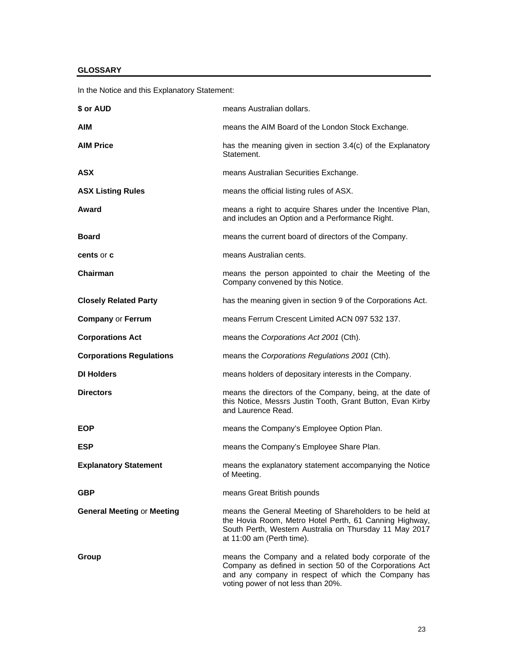#### **GLOSSARY**

In the Notice and this Explanatory Statement:

| \$ or AUD                         | means Australian dollars.                                                                                                                                                                                      |
|-----------------------------------|----------------------------------------------------------------------------------------------------------------------------------------------------------------------------------------------------------------|
| AIM                               | means the AIM Board of the London Stock Exchange.                                                                                                                                                              |
| <b>AIM Price</b>                  | has the meaning given in section 3.4(c) of the Explanatory<br>Statement.                                                                                                                                       |
| ASX                               | means Australian Securities Exchange.                                                                                                                                                                          |
| <b>ASX Listing Rules</b>          | means the official listing rules of ASX.                                                                                                                                                                       |
| Award                             | means a right to acquire Shares under the Incentive Plan,<br>and includes an Option and a Performance Right.                                                                                                   |
| <b>Board</b>                      | means the current board of directors of the Company.                                                                                                                                                           |
| cents or c                        | means Australian cents.                                                                                                                                                                                        |
| Chairman                          | means the person appointed to chair the Meeting of the<br>Company convened by this Notice.                                                                                                                     |
| <b>Closely Related Party</b>      | has the meaning given in section 9 of the Corporations Act.                                                                                                                                                    |
| <b>Company or Ferrum</b>          | means Ferrum Crescent Limited ACN 097 532 137.                                                                                                                                                                 |
| <b>Corporations Act</b>           | means the Corporations Act 2001 (Cth).                                                                                                                                                                         |
| <b>Corporations Regulations</b>   | means the Corporations Regulations 2001 (Cth).                                                                                                                                                                 |
| <b>DI Holders</b>                 | means holders of depositary interests in the Company.                                                                                                                                                          |
| <b>Directors</b>                  | means the directors of the Company, being, at the date of<br>this Notice, Messrs Justin Tooth, Grant Button, Evan Kirby<br>and Laurence Read.                                                                  |
| <b>EOP</b>                        | means the Company's Employee Option Plan.                                                                                                                                                                      |
| <b>ESP</b>                        | means the Company's Employee Share Plan.                                                                                                                                                                       |
| <b>Explanatory Statement</b>      | means the explanatory statement accompanying the Notice<br>of Meeting.                                                                                                                                         |
| <b>GBP</b>                        | means Great British pounds                                                                                                                                                                                     |
| <b>General Meeting or Meeting</b> | means the General Meeting of Shareholders to be held at<br>the Hovia Room, Metro Hotel Perth, 61 Canning Highway,<br>South Perth, Western Australia on Thursday 11 May 2017<br>at 11:00 am (Perth time).       |
| Group                             | means the Company and a related body corporate of the<br>Company as defined in section 50 of the Corporations Act<br>and any company in respect of which the Company has<br>voting power of not less than 20%. |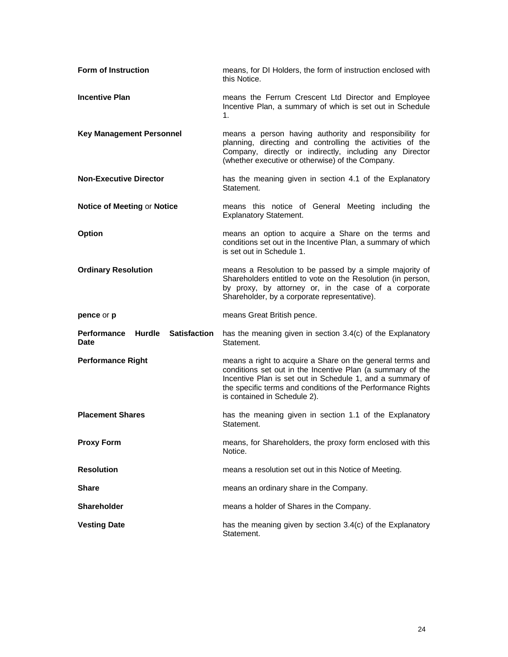| <b>Form of Instruction</b>                                         | means, for DI Holders, the form of instruction enclosed with<br>this Notice.                                                                                                                                                       |
|--------------------------------------------------------------------|------------------------------------------------------------------------------------------------------------------------------------------------------------------------------------------------------------------------------------|
| <b>Incentive Plan</b>                                              | means the Ferrum Crescent Ltd Director and Employee<br>Incentive Plan, a summary of which is set out in Schedule<br>1.                                                                                                             |
| <b>Key Management Personnel</b>                                    | means a person having authority and responsibility for<br>planning, directing and controlling the activities of the<br>Company, directly or indirectly, including any Director<br>(whether executive or otherwise) of the Company. |
| <b>Non-Executive Director</b>                                      | has the meaning given in section 4.1 of the Explanatory<br>Statement.                                                                                                                                                              |
| Notice of Meeting or Notice                                        | means this notice of General Meeting including the<br><b>Explanatory Statement.</b>                                                                                                                                                |
| Option                                                             | means an option to acquire a Share on the terms and<br>conditions set out in the Incentive Plan, a summary of which<br>is set out in Schedule 1.                                                                                   |
| <b>Ordinary Resolution</b>                                         | means a Resolution to be passed by a simple majority of<br>Shareholders entitled to vote on the Resolution (in person,<br>by proxy, by attorney or, in the case of a corporate<br>Shareholder, by a corporate representative).     |
| pence or p                                                         | means Great British pence.                                                                                                                                                                                                         |
| Performance<br><b>Hurdle</b><br><b>Satisfaction</b><br><b>Date</b> | has the meaning given in section 3.4(c) of the Explanatory<br>Statement.                                                                                                                                                           |
| <b>Performance Right</b>                                           | means a right to acquire a Share on the general terms and                                                                                                                                                                          |
|                                                                    | conditions set out in the Incentive Plan (a summary of the<br>Incentive Plan is set out in Schedule 1, and a summary of<br>the specific terms and conditions of the Performance Rights<br>is contained in Schedule 2).             |
| <b>Placement Shares</b>                                            | has the meaning given in section 1.1 of the Explanatory<br>Statement.                                                                                                                                                              |
| <b>Proxy Form</b>                                                  | means, for Shareholders, the proxy form enclosed with this<br>Notice.                                                                                                                                                              |
| <b>Resolution</b>                                                  | means a resolution set out in this Notice of Meeting.                                                                                                                                                                              |
| <b>Share</b>                                                       | means an ordinary share in the Company.                                                                                                                                                                                            |
| Shareholder                                                        | means a holder of Shares in the Company.                                                                                                                                                                                           |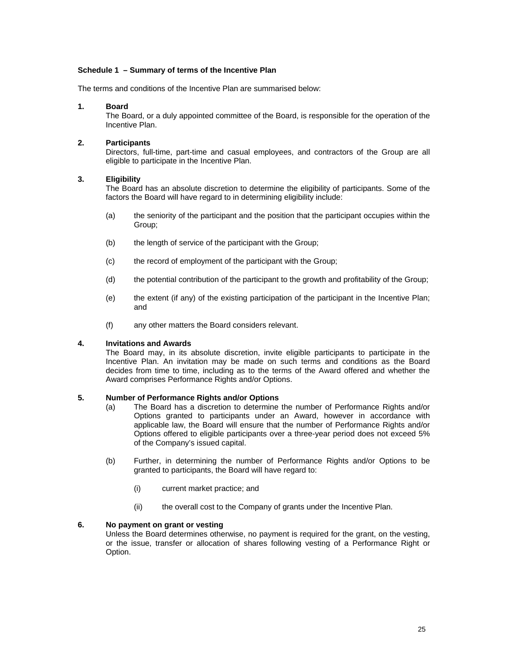#### **Schedule 1 – Summary of terms of the Incentive Plan**

The terms and conditions of the Incentive Plan are summarised below:

#### **1. Board**

The Board, or a duly appointed committee of the Board, is responsible for the operation of the Incentive Plan.

#### **2. Participants**

Directors, full-time, part-time and casual employees, and contractors of the Group are all eligible to participate in the Incentive Plan.

#### **3. Eligibility**

The Board has an absolute discretion to determine the eligibility of participants. Some of the factors the Board will have regard to in determining eligibility include:

- (a) the seniority of the participant and the position that the participant occupies within the Group;
- (b) the length of service of the participant with the Group;
- (c) the record of employment of the participant with the Group;
- (d) the potential contribution of the participant to the growth and profitability of the Group;
- (e) the extent (if any) of the existing participation of the participant in the Incentive Plan; and
- (f) any other matters the Board considers relevant.

#### **4. Invitations and Awards**

The Board may, in its absolute discretion, invite eligible participants to participate in the Incentive Plan. An invitation may be made on such terms and conditions as the Board decides from time to time, including as to the terms of the Award offered and whether the Award comprises Performance Rights and/or Options.

#### **5. Number of Performance Rights and/or Options**

- (a) The Board has a discretion to determine the number of Performance Rights and/or Options granted to participants under an Award, however in accordance with applicable law, the Board will ensure that the number of Performance Rights and/or Options offered to eligible participants over a three-year period does not exceed 5% of the Company's issued capital.
- (b) Further, in determining the number of Performance Rights and/or Options to be granted to participants, the Board will have regard to:
	- (i) current market practice; and
	- (ii) the overall cost to the Company of grants under the Incentive Plan.

#### **6. No payment on grant or vesting**

Unless the Board determines otherwise, no payment is required for the grant, on the vesting, or the issue, transfer or allocation of shares following vesting of a Performance Right or Option.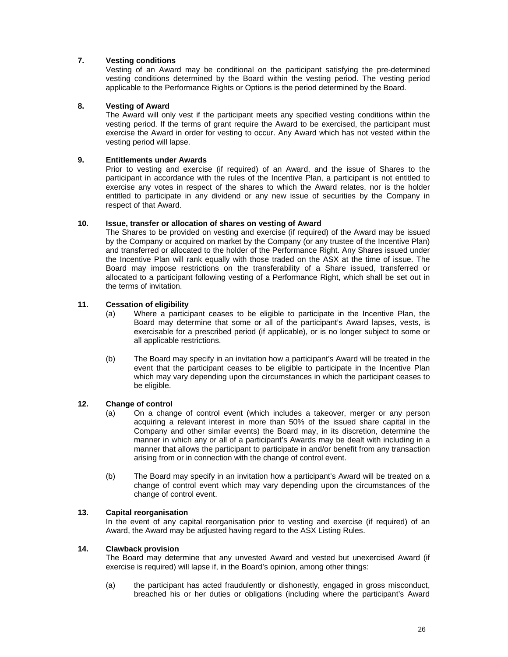#### **7. Vesting conditions**

Vesting of an Award may be conditional on the participant satisfying the pre-determined vesting conditions determined by the Board within the vesting period. The vesting period applicable to the Performance Rights or Options is the period determined by the Board.

#### **8. Vesting of Award**

The Award will only vest if the participant meets any specified vesting conditions within the vesting period. If the terms of grant require the Award to be exercised, the participant must exercise the Award in order for vesting to occur. Any Award which has not vested within the vesting period will lapse.

#### **9. Entitlements under Awards**

Prior to vesting and exercise (if required) of an Award, and the issue of Shares to the participant in accordance with the rules of the Incentive Plan, a participant is not entitled to exercise any votes in respect of the shares to which the Award relates, nor is the holder entitled to participate in any dividend or any new issue of securities by the Company in respect of that Award.

#### **10. Issue, transfer or allocation of shares on vesting of Award**

The Shares to be provided on vesting and exercise (if required) of the Award may be issued by the Company or acquired on market by the Company (or any trustee of the Incentive Plan) and transferred or allocated to the holder of the Performance Right. Any Shares issued under the Incentive Plan will rank equally with those traded on the ASX at the time of issue. The Board may impose restrictions on the transferability of a Share issued, transferred or allocated to a participant following vesting of a Performance Right, which shall be set out in the terms of invitation.

#### **11. Cessation of eligibility**

- (a) Where a participant ceases to be eligible to participate in the Incentive Plan, the Board may determine that some or all of the participant's Award lapses, vests, is exercisable for a prescribed period (if applicable), or is no longer subject to some or all applicable restrictions.
- (b) The Board may specify in an invitation how a participant's Award will be treated in the event that the participant ceases to be eligible to participate in the Incentive Plan which may vary depending upon the circumstances in which the participant ceases to be eligible.

#### **12. Change of control**

- (a) On a change of control event (which includes a takeover, merger or any person acquiring a relevant interest in more than 50% of the issued share capital in the Company and other similar events) the Board may, in its discretion, determine the manner in which any or all of a participant's Awards may be dealt with including in a manner that allows the participant to participate in and/or benefit from any transaction arising from or in connection with the change of control event.
- (b) The Board may specify in an invitation how a participant's Award will be treated on a change of control event which may vary depending upon the circumstances of the change of control event.

#### **13. Capital reorganisation**

In the event of any capital reorganisation prior to vesting and exercise (if required) of an Award, the Award may be adjusted having regard to the ASX Listing Rules.

#### **14. Clawback provision**

The Board may determine that any unvested Award and vested but unexercised Award (if exercise is required) will lapse if, in the Board's opinion, among other things:

(a) the participant has acted fraudulently or dishonestly, engaged in gross misconduct, breached his or her duties or obligations (including where the participant's Award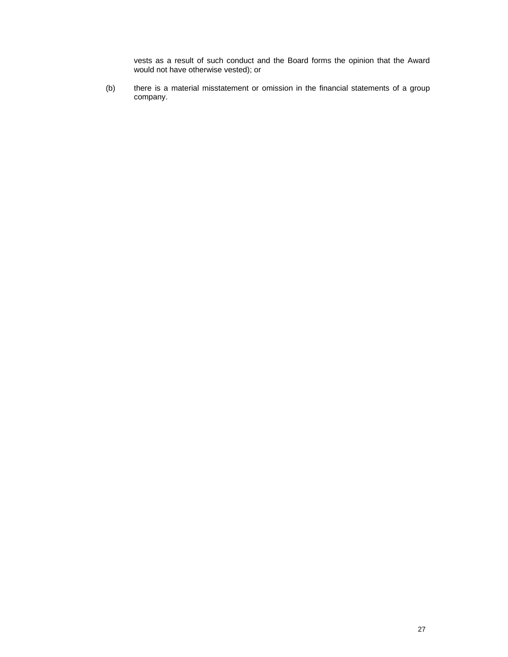vests as a result of such conduct and the Board forms the opinion that the Award would not have otherwise vested); or

(b) there is a material misstatement or omission in the financial statements of a group company.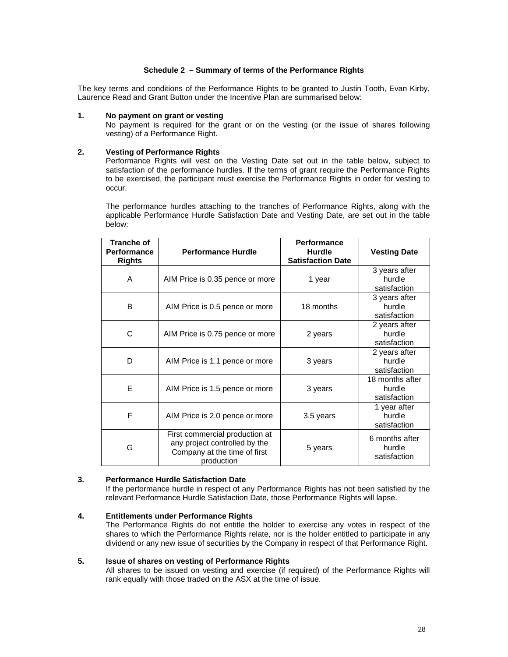#### **Schedule 2 – Summary of terms of the Performance Rights**

The key terms and conditions of the Performance Rights to be granted to Justin Tooth, Evan Kirby, Laurence Read and Grant Button under the Incentive Plan are summarised below:

#### **1. No payment on grant or vesting**

No payment is required for the grant or on the vesting (or the issue of shares following vesting) of a Performance Right.

#### **2. Vesting of Performance Rights**

Performance Rights will vest on the Vesting Date set out in the table below, subject to satisfaction of the performance hurdles. If the terms of grant require the Performance Rights to be exercised, the participant must exercise the Performance Rights in order for vesting to occur.

The performance hurdles attaching to the tranches of Performance Rights, along with the applicable Performance Hurdle Satisfaction Date and Vesting Date, are set out in the table below:

| <b>Tranche of</b><br>Performance<br><b>Rights</b> | <b>Performance Hurdle</b>                                                                                     | <b>Performance</b><br><b>Hurdle</b><br><b>Satisfaction Date</b> | <b>Vesting Date</b>                       |
|---------------------------------------------------|---------------------------------------------------------------------------------------------------------------|-----------------------------------------------------------------|-------------------------------------------|
| A                                                 | AIM Price is 0.35 pence or more                                                                               | 1 year                                                          | 3 years after<br>hurdle<br>satisfaction   |
| B                                                 | AIM Price is 0.5 pence or more                                                                                | 18 months                                                       | 3 years after<br>hurdle<br>satisfaction   |
| C                                                 | AIM Price is 0.75 pence or more                                                                               | 2 years                                                         | 2 years after<br>hurdle<br>satisfaction   |
| D                                                 | AIM Price is 1.1 pence or more                                                                                | 3 years                                                         | 2 years after<br>hurdle<br>satisfaction   |
| Е                                                 | AIM Price is 1.5 pence or more                                                                                | 3 years                                                         | 18 months after<br>hurdle<br>satisfaction |
| F                                                 | AIM Price is 2.0 pence or more                                                                                | 3.5 years                                                       | 1 year after<br>hurdle<br>satisfaction    |
| G                                                 | First commercial production at<br>any project controlled by the<br>Company at the time of first<br>production | 5 years                                                         | 6 months after<br>hurdle<br>satisfaction  |

#### **3. Performance Hurdle Satisfaction Date**

If the performance hurdle in respect of any Performance Rights has not been satisfied by the relevant Performance Hurdle Satisfaction Date, those Performance Rights will lapse.

#### **4. Entitlements under Performance Rights**

The Performance Rights do not entitle the holder to exercise any votes in respect of the shares to which the Performance Rights relate, nor is the holder entitled to participate in any dividend or any new issue of securities by the Company in respect of that Performance Right.

#### **5. Issue of shares on vesting of Performance Rights**

All shares to be issued on vesting and exercise (if required) of the Performance Rights will rank equally with those traded on the ASX at the time of issue.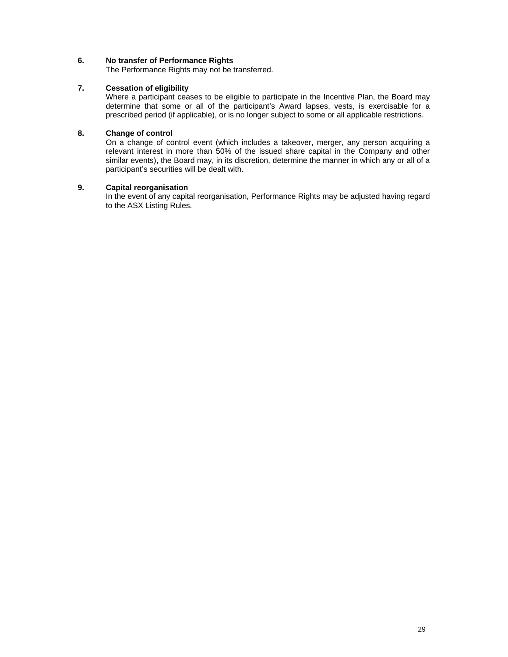#### **6. No transfer of Performance Rights**

The Performance Rights may not be transferred.

#### **7. Cessation of eligibility**

Where a participant ceases to be eligible to participate in the Incentive Plan, the Board may determine that some or all of the participant's Award lapses, vests, is exercisable for a prescribed period (if applicable), or is no longer subject to some or all applicable restrictions.

#### **8. Change of control**

On a change of control event (which includes a takeover, merger, any person acquiring a relevant interest in more than 50% of the issued share capital in the Company and other similar events), the Board may, in its discretion, determine the manner in which any or all of a participant's securities will be dealt with.

#### **9. Capital reorganisation**

In the event of any capital reorganisation, Performance Rights may be adjusted having regard to the ASX Listing Rules.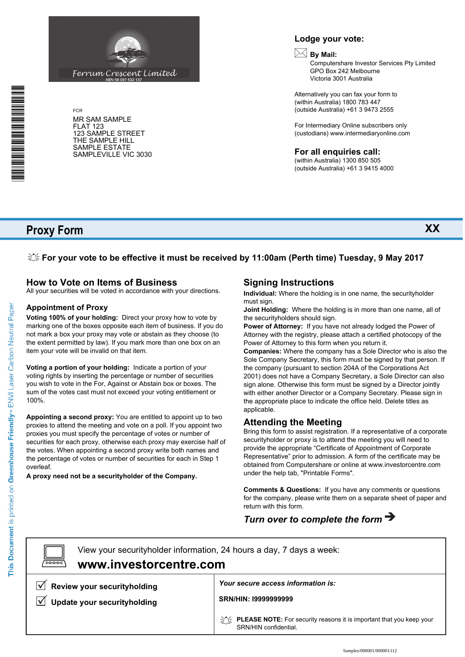### **Lodge your vote:**

# **By Mail:**

Computershare Investor Services Pty Limited GPO Box 242 Melbourne Victoria 3001 Australia

Alternatively you can fax your form to (within Australia) 1800 783 447 (outside Australia) +61 3 9473 2555

For Intermediary Online subscribers only (custodians) www.intermediaryonline.com

**For all enquiries call:**

(within Australia) 1300 850 505 (outside Australia) +61 3 9415 4000

**Proxy Form**

FCR

FLAT 123

MR SAM SAMPLE

123 SAMPLE STREET THE SAMPLE HILL SAMPLE ESTATE SAMPLEVILLE VIC 3030

**For your vote to be effective it must be received by 11:00am (Perth time) Tuesday, 9 May 2017**

### **How to Vote on Items of Business**

All your securities will be voted in accordance with your directions.

ABN 58 097 532 137

Ferrum Crescent Limited

#### **Appointment of Proxy**

**Voting 100% of your holding:** Direct your proxy how to vote by marking one of the boxes opposite each item of business. If you do not mark a box your proxy may vote or abstain as they choose (to the extent permitted by law). If you mark more than one box on an item your vote will be invalid on that item.

**Voting a portion of your holding:** Indicate a portion of your voting rights by inserting the percentage or number of securities you wish to vote in the For, Against or Abstain box or boxes. The sum of the votes cast must not exceed your voting entitlement or 100%.

**Appointing a second proxy:** You are entitled to appoint up to two proxies to attend the meeting and vote on a poll. If you appoint two proxies you must specify the percentage of votes or number of securities for each proxy, otherwise each proxy may exercise half of the votes. When appointing a second proxy write both names and the percentage of votes or number of securities for each in Step 1 overleaf.

**A proxy need not be a securityholder of the Company.**

### **Signing Instructions**

**Individual:** Where the holding is in one name, the securityholder must sign.

**Joint Holding:** Where the holding is in more than one name, all of the securityholders should sign.

**Power of Attorney:** If you have not already lodged the Power of Attorney with the registry, please attach a certified photocopy of the Power of Attorney to this form when you return it.

**Companies:** Where the company has a Sole Director who is also the Sole Company Secretary, this form must be signed by that person. If the company (pursuant to section 204A of the Corporations Act 2001) does not have a Company Secretary, a Sole Director can also sign alone. Otherwise this form must be signed by a Director jointly with either another Director or a Company Secretary. Please sign in the appropriate place to indicate the office held. Delete titles as applicable.

#### **Attending the Meeting**

Bring this form to assist registration. If a representative of a corporate securityholder or proxy is to attend the meeting you will need to provide the appropriate "Certificate of Appointment of Corporate Representative" prior to admission. A form of the certificate may be obtained from Computershare or online at www.investorcentre.com under the help tab, "Printable Forms".

**Comments & Questions:** If you have any comments or questions for the company, please write them on a separate sheet of paper and return with this form.

# *Turn over to complete the form*

 $\boxed{\square}$ 

**www.investorcentre.com** View your securityholder information, 24 hours a day, 7 days a week:

 $\sqrt{\phantom{a}}$  Review your securityholding

**Update your securityholding**

*Your secure access information is:*

**SRN/HIN: I9999999999**

**PLEASE NOTE:** For security reasons it is important that you keep your SRN/HIN confidential.



This Document is printed on Greenhouse Friendly<sup>n</sup> ENVI Laser Carbon Neutral Paper